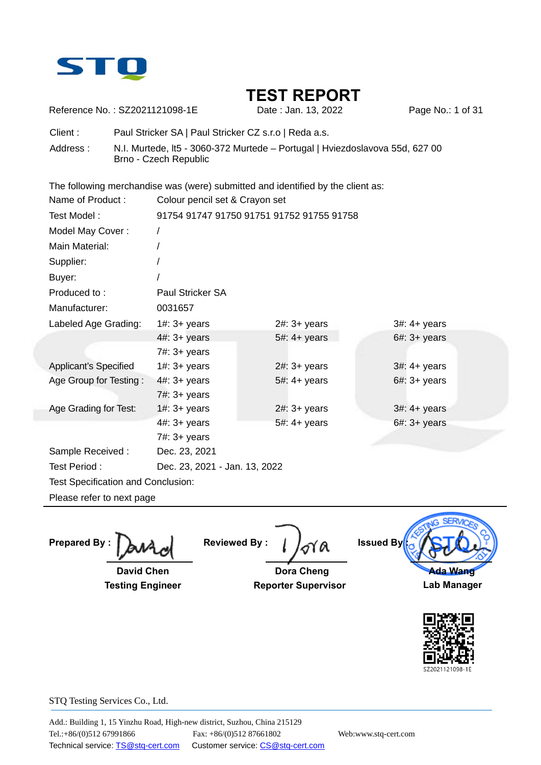

Reference No.: SZ2021121098-1E Date : Jan. 13, 2022 Page No.: 1 of 31

Client : Paul Stricker SA | Paul Stricker CZ s.r.o | Reda a.s.

Address : N.I. Murtede, lt5 - 3060-372 Murtede – Portugal | Hviezdoslavova 55d, 627 00 Brno - Czech Republic

The following merchandise was (were) submitted and identified by the client as:

| Name of Product:                              | Colour pencil set & Crayon set            |                        |                        |  |  |
|-----------------------------------------------|-------------------------------------------|------------------------|------------------------|--|--|
| Test Model:                                   | 91754 91747 91750 91751 91752 91755 91758 |                        |                        |  |  |
| Model May Cover:                              |                                           |                        |                        |  |  |
| Main Material:                                |                                           |                        |                        |  |  |
| Supplier:                                     |                                           |                        |                        |  |  |
| Buyer:                                        |                                           |                        |                        |  |  |
| Produced to:                                  | Paul Stricker SA                          |                        |                        |  |  |
| Manufacturer:                                 | 0031657                                   |                        |                        |  |  |
| Labeled Age Grading:                          | $1#: 3+ years$                            | $2#: 3+ years$         | $3#: 4+ years$         |  |  |
|                                               | $4#: 3+ years$                            | $5#: 4+ \text{ years}$ | $6#: 3+ years$         |  |  |
|                                               | $7#: 3+ years$                            |                        |                        |  |  |
| <b>Applicant's Specified</b>                  | $1#: 3+ years$                            | $2#: 3+ years$         | $3#: 4+ \text{ years}$ |  |  |
| Age Group for Testing:                        | $4\#$ : $3+$ years                        | 5#: 4+ years           | $6#: 3+ years$         |  |  |
|                                               | 7#: 3+ years                              |                        |                        |  |  |
| Age Grading for Test:                         | $1#: 3+ years$                            | $2#: 3+ years$         | $3#: 4+ years$         |  |  |
|                                               | $4\text{\#}: 3+ \text{ years}$            | 5#: 4+ years           | $6#: 3+ years$         |  |  |
|                                               | 7#: 3+ years                              |                        |                        |  |  |
| Sample Received:                              | Dec. 23, 2021                             |                        |                        |  |  |
| Test Period:<br>Dec. 23, 2021 - Jan. 13, 2022 |                                           |                        |                        |  |  |
| Test Specification and Conclusion:            |                                           |                        |                        |  |  |
| Please refer to next page                     |                                           |                        |                        |  |  |

**Prepared By :** 

 **David Chen Testing Engineer** 

**Reviewed By :** 

 **Dora Cheng Reporter Supervisor**



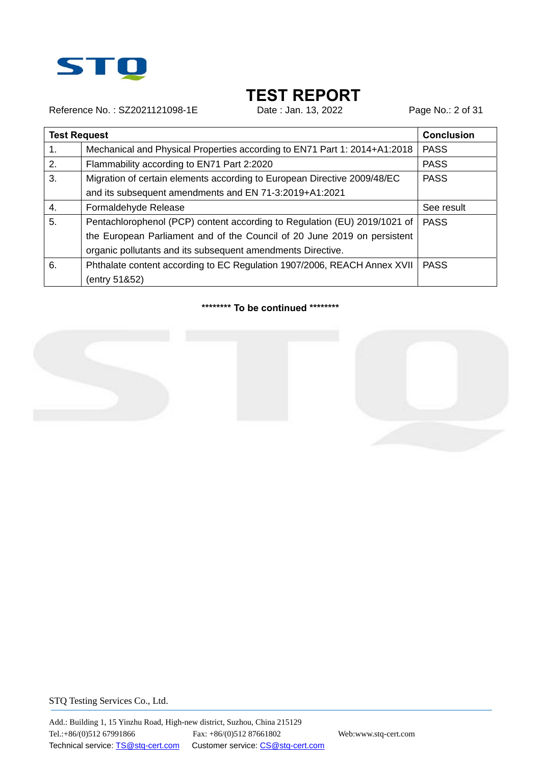

Reference No.: SZ2021121098-1E Date : Jan. 13, 2022 Page No.: 2 of 31

|    | <b>Test Request</b>                                                       |             |  |
|----|---------------------------------------------------------------------------|-------------|--|
| 1. | Mechanical and Physical Properties according to EN71 Part 1: 2014+A1:2018 | <b>PASS</b> |  |
| 2. | Flammability according to EN71 Part 2:2020                                | <b>PASS</b> |  |
| 3. | Migration of certain elements according to European Directive 2009/48/EC  | <b>PASS</b> |  |
|    | and its subsequent amendments and EN 71-3:2019+A1:2021                    |             |  |
| 4. | Formaldehyde Release                                                      | See result  |  |
| 5. | Pentachlorophenol (PCP) content according to Regulation (EU) 2019/1021 of | <b>PASS</b> |  |
|    | the European Parliament and of the Council of 20 June 2019 on persistent  |             |  |
|    | organic pollutants and its subsequent amendments Directive.               |             |  |
| 6. | Phthalate content according to EC Regulation 1907/2006, REACH Annex XVII  | <b>PASS</b> |  |
|    | (entry 51&52)                                                             |             |  |

#### **\*\*\*\*\*\*\*\* To be continued \*\*\*\*\*\*\*\***



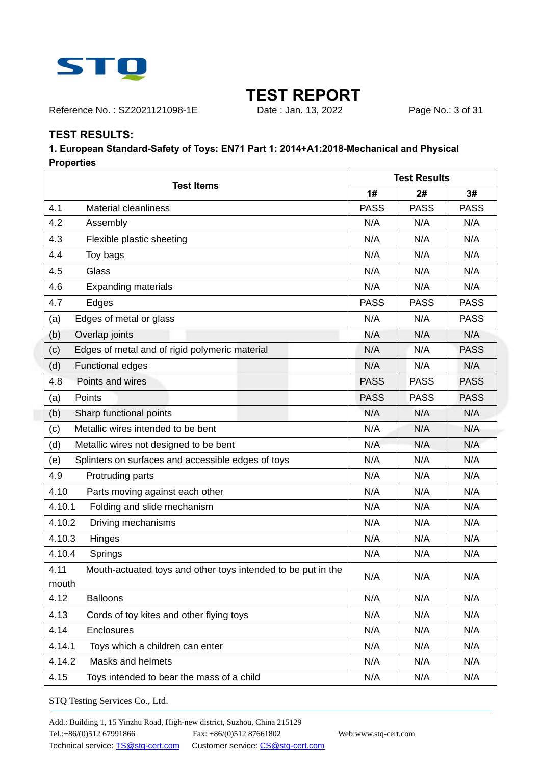

Reference No.: SZ2021121098-1E Date : Jan. 13, 2022 Page No.: 3 of 31

### **TEST RESULTS:**

### **1. European Standard-Safety of Toys: EN71 Part 1: 2014+A1:2018-Mechanical and Physical Properties**

| <b>Test Items</b>                                                             |             | <b>Test Results</b> |             |  |
|-------------------------------------------------------------------------------|-------------|---------------------|-------------|--|
|                                                                               |             | 2#                  | 3#          |  |
| 4.1<br><b>Material cleanliness</b>                                            | <b>PASS</b> | <b>PASS</b>         | <b>PASS</b> |  |
| 4.2<br>Assembly                                                               | N/A         | N/A                 | N/A         |  |
| 4.3<br>Flexible plastic sheeting                                              | N/A         | N/A                 | N/A         |  |
| 4.4<br>Toy bags                                                               | N/A         | N/A                 | N/A         |  |
| 4.5<br>Glass                                                                  | N/A         | N/A                 | N/A         |  |
| 4.6<br><b>Expanding materials</b>                                             | N/A         | N/A                 | N/A         |  |
| 4.7<br>Edges                                                                  | <b>PASS</b> | <b>PASS</b>         | <b>PASS</b> |  |
| Edges of metal or glass<br>(a)                                                | N/A         | N/A                 | <b>PASS</b> |  |
| (b)<br>Overlap joints                                                         | N/A         | N/A                 | N/A         |  |
| Edges of metal and of rigid polymeric material<br>(c)                         | N/A         | N/A                 | <b>PASS</b> |  |
| (d)<br><b>Functional edges</b>                                                | N/A         | N/A                 | N/A         |  |
| 4.8<br>Points and wires                                                       | <b>PASS</b> | <b>PASS</b>         | <b>PASS</b> |  |
| Points<br>(a)                                                                 | <b>PASS</b> | <b>PASS</b>         | <b>PASS</b> |  |
| Sharp functional points<br>(b)                                                | N/A         | N/A                 | N/A         |  |
| Metallic wires intended to be bent<br>(c)                                     | N/A         | N/A                 | N/A         |  |
| (d)<br>Metallic wires not designed to be bent                                 | N/A         | N/A                 | N/A         |  |
| Splinters on surfaces and accessible edges of toys<br>(e)                     | N/A         | N/A                 | N/A         |  |
| 4.9<br>Protruding parts                                                       | N/A         | N/A                 | N/A         |  |
| 4.10<br>Parts moving against each other                                       | N/A         | N/A                 | N/A         |  |
| Folding and slide mechanism<br>4.10.1                                         | N/A         | N/A                 | N/A         |  |
| 4.10.2<br>Driving mechanisms                                                  | N/A         | N/A                 | N/A         |  |
| 4.10.3<br>Hinges                                                              | N/A         | N/A                 | N/A         |  |
| 4.10.4<br>Springs                                                             | N/A         | N/A                 | N/A         |  |
| 4.11<br>Mouth-actuated toys and other toys intended to be put in the<br>mouth | N/A         | N/A                 | N/A         |  |
| 4.12<br><b>Balloons</b>                                                       | N/A         | N/A                 | N/A         |  |
| 4.13<br>Cords of toy kites and other flying toys                              | N/A         | N/A                 | N/A         |  |
| 4.14<br>Enclosures                                                            | N/A         | N/A                 | N/A         |  |
| 4.14.1<br>Toys which a children can enter                                     | N/A         | N/A                 | N/A         |  |
| 4.14.2<br>Masks and helmets                                                   | N/A         | N/A                 | N/A         |  |
| 4.15<br>Toys intended to bear the mass of a child                             | N/A         | N/A                 | N/A         |  |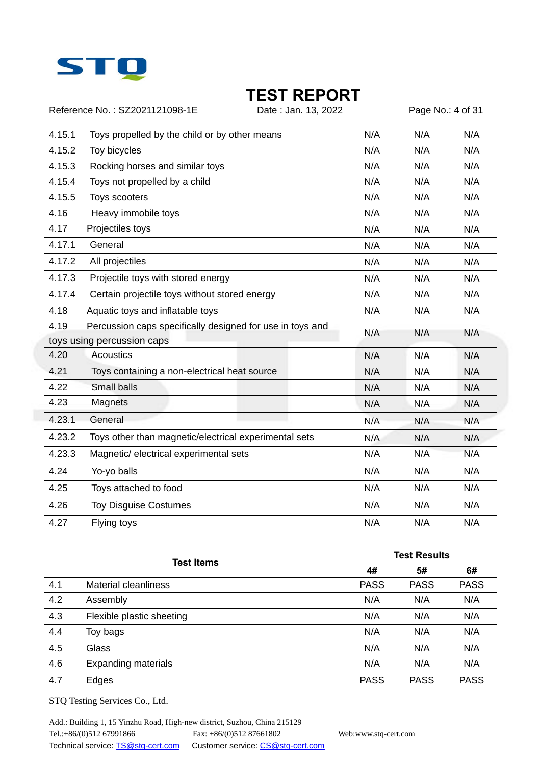

Reference No.: SZ2021121098-1E Date : Jan. 13, 2022 Page No.: 4 of 31

| 4.15.1 | Toys propelled by the child or by other means             | N/A | N/A | N/A |
|--------|-----------------------------------------------------------|-----|-----|-----|
| 4.15.2 | Toy bicycles                                              | N/A | N/A | N/A |
| 4.15.3 | Rocking horses and similar toys                           | N/A | N/A | N/A |
| 4.15.4 | Toys not propelled by a child                             | N/A | N/A | N/A |
| 4.15.5 | Toys scooters                                             | N/A | N/A | N/A |
| 4.16   | Heavy immobile toys                                       | N/A | N/A | N/A |
| 4.17   | Projectiles toys                                          | N/A | N/A | N/A |
| 4.17.1 | General                                                   | N/A | N/A | N/A |
| 4.17.2 | All projectiles                                           | N/A | N/A | N/A |
| 4.17.3 | Projectile toys with stored energy                        | N/A | N/A | N/A |
| 4.17.4 | Certain projectile toys without stored energy             | N/A | N/A | N/A |
| 4.18   | Aquatic toys and inflatable toys                          | N/A | N/A | N/A |
| 4.19   | Percussion caps specifically designed for use in toys and | N/A | N/A | N/A |
|        | toys using percussion caps                                |     |     |     |
| 4.20   | Acoustics                                                 | N/A | N/A | N/A |
| 4.21   | Toys containing a non-electrical heat source              | N/A | N/A | N/A |
| 4.22   | Small balls                                               | N/A | N/A | N/A |
| 4.23   | Magnets                                                   | N/A | N/A | N/A |
| 4.23.1 | General                                                   | N/A | N/A | N/A |
| 4.23.2 | Toys other than magnetic/electrical experimental sets     | N/A | N/A | N/A |
| 4.23.3 | Magnetic/ electrical experimental sets                    | N/A | N/A | N/A |
| 4.24   | Yo-yo balls                                               | N/A | N/A | N/A |
| 4.25   | Toys attached to food                                     | N/A | N/A | N/A |
| 4.26   | <b>Toy Disguise Costumes</b>                              | N/A | N/A | N/A |
| 4.27   | Flying toys                                               | N/A | N/A | N/A |

|     | <b>Test Items</b>           | <b>Test Results</b> |             |             |
|-----|-----------------------------|---------------------|-------------|-------------|
|     |                             | 4#                  | 5#          | 6#          |
| 4.1 | <b>Material cleanliness</b> | <b>PASS</b>         | <b>PASS</b> | <b>PASS</b> |
| 4.2 | Assembly                    | N/A                 | N/A         | N/A         |
| 4.3 | Flexible plastic sheeting   | N/A                 | N/A         | N/A         |
| 4.4 | Toy bags                    | N/A                 | N/A         | N/A         |
| 4.5 | <b>Glass</b>                | N/A                 | N/A         | N/A         |
| 4.6 | <b>Expanding materials</b>  | N/A                 | N/A         | N/A         |
| 4.7 | Edges                       | <b>PASS</b>         | <b>PASS</b> | <b>PASS</b> |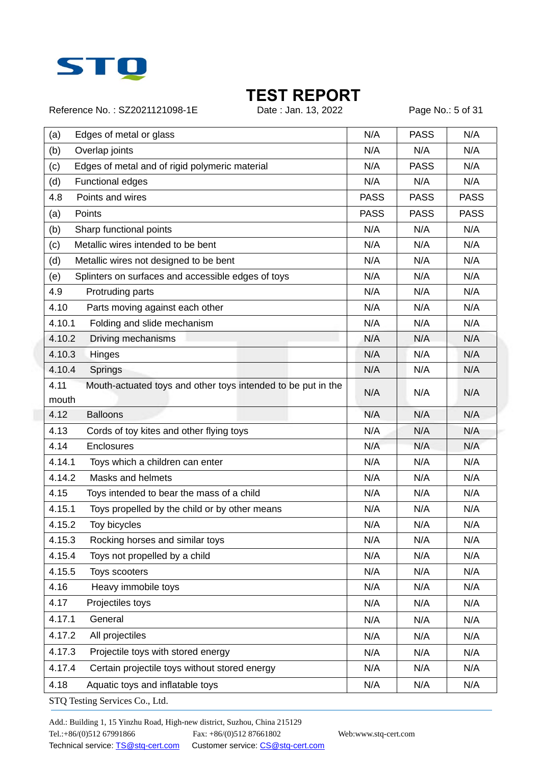

Reference No.: SZ2021121098-1E Date : Jan. 13, 2022 Page No.: 5 of 31

| (a)<br>Edges of metal or glass                                                | N/A         | <b>PASS</b> | N/A         |
|-------------------------------------------------------------------------------|-------------|-------------|-------------|
| (b)<br>Overlap joints                                                         | N/A         | N/A         | N/A         |
| Edges of metal and of rigid polymeric material<br>(c)                         | N/A         | <b>PASS</b> | N/A         |
| (d)<br>Functional edges                                                       | N/A         | N/A         | N/A         |
| 4.8<br>Points and wires                                                       | <b>PASS</b> | <b>PASS</b> | <b>PASS</b> |
| Points<br>(a)                                                                 | <b>PASS</b> | <b>PASS</b> | <b>PASS</b> |
| (b)<br>Sharp functional points                                                | N/A         | N/A         | N/A         |
| Metallic wires intended to be bent<br>(c)                                     | N/A         | N/A         | N/A         |
| (d)<br>Metallic wires not designed to be bent                                 | N/A         | N/A         | N/A         |
| Splinters on surfaces and accessible edges of toys<br>(e)                     | N/A         | N/A         | N/A         |
| 4.9<br>Protruding parts                                                       | N/A         | N/A         | N/A         |
| 4.10<br>Parts moving against each other                                       | N/A         | N/A         | N/A         |
| 4.10.1<br>Folding and slide mechanism                                         | N/A         | N/A         | N/A         |
| 4.10.2<br>Driving mechanisms                                                  | N/A         | N/A         | N/A         |
| 4.10.3<br>Hinges                                                              | N/A         | N/A         | N/A         |
| 4.10.4<br>Springs                                                             | N/A         | N/A         | N/A         |
| 4.11<br>Mouth-actuated toys and other toys intended to be put in the<br>mouth | N/A         | N/A         | N/A         |
| 4.12<br><b>Balloons</b>                                                       | N/A         | N/A         | N/A         |
| 4.13<br>Cords of toy kites and other flying toys                              | N/A         | N/A         | N/A         |
| 4.14<br>Enclosures                                                            | N/A         | N/A         | N/A         |
| 4.14.1<br>Toys which a children can enter                                     | N/A         | N/A         | N/A         |
| 4.14.2<br>Masks and helmets                                                   | N/A         | N/A         | N/A         |
| 4.15<br>Toys intended to bear the mass of a child                             | N/A         | N/A         | N/A         |
| 4.15.1<br>Toys propelled by the child or by other means                       | N/A         | N/A         | N/A         |
| 4.15.2<br>Toy bicycles                                                        | N/A         | N/A         | N/A         |
| 4.15.3<br>Rocking horses and similar toys                                     | N/A         | N/A         | N/A         |
| 4.15.4<br>Toys not propelled by a child                                       | N/A         | N/A         | N/A         |
| 4.15.5<br>Toys scooters                                                       | N/A         | N/A         | N/A         |
| 4.16<br>Heavy immobile toys                                                   | N/A         | N/A         | N/A         |
| 4.17<br>Projectiles toys                                                      | N/A         | N/A         | N/A         |
| 4.17.1<br>General                                                             | N/A         | N/A         | N/A         |
| 4.17.2<br>All projectiles                                                     | N/A         | N/A         | N/A         |
| 4.17.3<br>Projectile toys with stored energy                                  | N/A         | N/A         | N/A         |
| 4.17.4<br>Certain projectile toys without stored energy                       | N/A         | N/A         | N/A         |
| 4.18<br>Aquatic toys and inflatable toys                                      | N/A         | N/A         | N/A         |
| STQ Testing Services Co., Ltd.                                                |             |             |             |

Add.: Building 1, 15 Yinzhu Road, High-new district, Suzhou, China 215129 Tel.:+86/(0)512 67991866 Fax: +86/(0)512 87661802 Web:www.stq-cert.com Technical service: TS@stq-cert.com Customer service: CS@stq-cert.com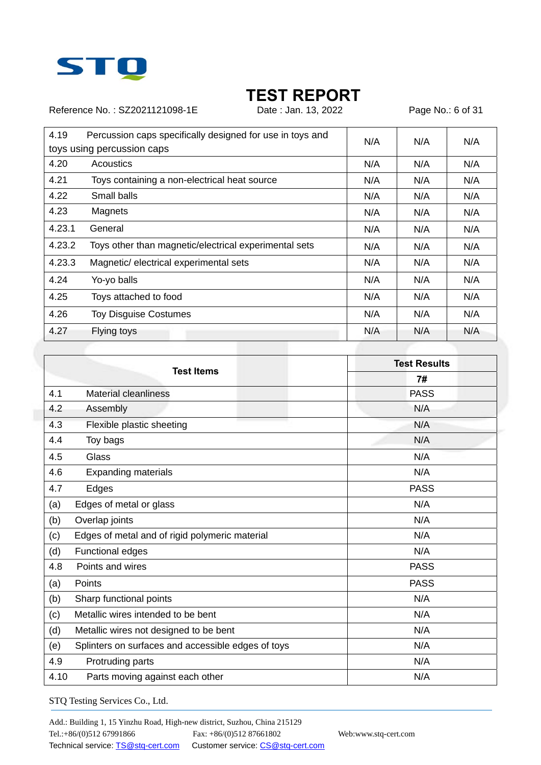

Reference No.: SZ2021121098-1E Date : Jan. 13, 2022 Page No.: 6 of 31

| 4.19   | Percussion caps specifically designed for use in toys and<br>toys using percussion caps | N/A | N/A | N/A |
|--------|-----------------------------------------------------------------------------------------|-----|-----|-----|
|        |                                                                                         |     |     |     |
| 4.20   | Acoustics                                                                               | N/A | N/A | N/A |
| 4.21   | Toys containing a non-electrical heat source                                            | N/A | N/A | N/A |
| 4.22   | Small balls                                                                             | N/A | N/A | N/A |
| 4.23   | Magnets                                                                                 | N/A | N/A | N/A |
| 4.23.1 | General                                                                                 | N/A | N/A | N/A |
| 4.23.2 | Toys other than magnetic/electrical experimental sets                                   | N/A | N/A | N/A |
| 4.23.3 | Magnetic/ electrical experimental sets                                                  | N/A | N/A | N/A |
| 4.24   | Yo-yo balls                                                                             | N/A | N/A | N/A |
| 4.25   | Toys attached to food                                                                   | N/A | N/A | N/A |
| 4.26   | <b>Toy Disguise Costumes</b>                                                            | N/A | N/A | N/A |
| 4.27   | Flying toys                                                                             | N/A | N/A | N/A |

|      | <b>Test Items</b>                                  | <b>Test Results</b> |
|------|----------------------------------------------------|---------------------|
|      |                                                    | 7#                  |
| 4.1  | <b>Material cleanliness</b>                        | <b>PASS</b>         |
| 4.2  | Assembly                                           | N/A                 |
| 4.3  | Flexible plastic sheeting                          | N/A                 |
| 4.4  | Toy bags                                           | N/A                 |
| 4.5  | Glass                                              | N/A                 |
| 4.6  | <b>Expanding materials</b>                         | N/A                 |
| 4.7  | Edges                                              | <b>PASS</b>         |
| (a)  | Edges of metal or glass                            | N/A                 |
| (b)  | Overlap joints                                     | N/A                 |
| (c)  | Edges of metal and of rigid polymeric material     | N/A                 |
| (d)  | <b>Functional edges</b>                            | N/A                 |
| 4.8  | Points and wires                                   | <b>PASS</b>         |
| (a)  | Points                                             | <b>PASS</b>         |
| (b)  | Sharp functional points                            | N/A                 |
| (c)  | Metallic wires intended to be bent                 | N/A                 |
| (d)  | Metallic wires not designed to be bent             | N/A                 |
| (e)  | Splinters on surfaces and accessible edges of toys | N/A                 |
| 4.9  | Protruding parts                                   | N/A                 |
| 4.10 | Parts moving against each other                    | N/A                 |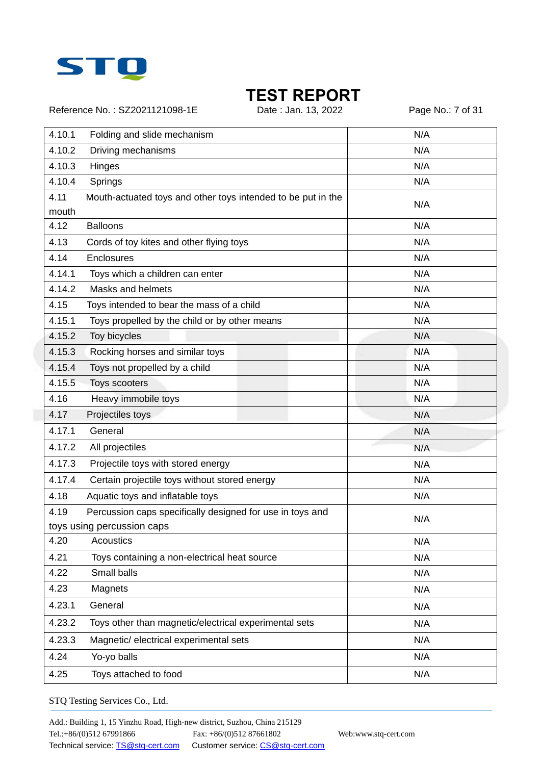

Reference No.: SZ2021121098-1E Date : Jan. 13, 2022 Page No.: 7 of 31

| 4.10.1        | Folding and slide mechanism                                  | N/A |
|---------------|--------------------------------------------------------------|-----|
| 4.10.2        | Driving mechanisms                                           | N/A |
| 4.10.3        | Hinges                                                       | N/A |
| 4.10.4        | Springs                                                      | N/A |
| 4.11<br>mouth | Mouth-actuated toys and other toys intended to be put in the | N/A |
| 4.12          | <b>Balloons</b>                                              | N/A |
| 4.13          | Cords of toy kites and other flying toys                     | N/A |
| 4.14          | Enclosures                                                   | N/A |
| 4.14.1        | Toys which a children can enter                              | N/A |
| 4.14.2        | Masks and helmets                                            | N/A |
| 4.15          | Toys intended to bear the mass of a child                    | N/A |
| 4.15.1        | Toys propelled by the child or by other means                | N/A |
| 4.15.2        | Toy bicycles                                                 | N/A |
| 4.15.3        | Rocking horses and similar toys                              | N/A |
| 4.15.4        | Toys not propelled by a child                                | N/A |
| 4.15.5        | Toys scooters                                                | N/A |
| 4.16          | Heavy immobile toys                                          | N/A |
| 4.17          | Projectiles toys                                             | N/A |
| 4.17.1        | General                                                      | N/A |
| 4.17.2        | All projectiles                                              | N/A |
| 4.17.3        | Projectile toys with stored energy                           | N/A |
| 4.17.4        | Certain projectile toys without stored energy                | N/A |
| 4.18          | Aquatic toys and inflatable toys                             | N/A |
| 4.19          | Percussion caps specifically designed for use in toys and    |     |
|               | toys using percussion caps                                   | N/A |
| 4.20          | Acoustics                                                    | N/A |
| 4.21          | Toys containing a non-electrical heat source                 | N/A |
| 4.22          | Small balls                                                  | N/A |
| 4.23          | Magnets                                                      | N/A |
| 4.23.1        | General                                                      | N/A |
| 4.23.2        | Toys other than magnetic/electrical experimental sets        | N/A |
| 4.23.3        | Magnetic/ electrical experimental sets                       | N/A |
| 4.24          | Yo-yo balls                                                  | N/A |
| 4.25          | Toys attached to food                                        | N/A |
|               |                                                              |     |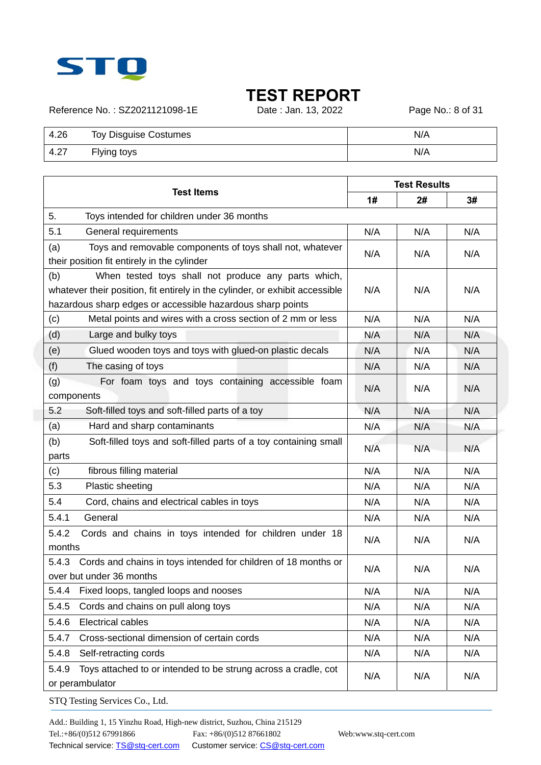

Reference No.: SZ2021121098-1E Date : Jan. 13, 2022 Page No.: 8 of 31

| 4.26 | <b>Toy Disguise Costumes</b> | N/A |
|------|------------------------------|-----|
| 4.27 | Flying toys                  | N/A |

| <b>Test Items</b>                                                                                                                                                                                        |     | <b>Test Results</b> |     |  |
|----------------------------------------------------------------------------------------------------------------------------------------------------------------------------------------------------------|-----|---------------------|-----|--|
|                                                                                                                                                                                                          | 1#  | 2#                  | 3#  |  |
| 5.<br>Toys intended for children under 36 months                                                                                                                                                         |     |                     |     |  |
| 5.1<br>General requirements                                                                                                                                                                              | N/A | N/A                 | N/A |  |
| (a)<br>Toys and removable components of toys shall not, whatever<br>their position fit entirely in the cylinder                                                                                          | N/A | N/A                 | N/A |  |
| (b)<br>When tested toys shall not produce any parts which,<br>whatever their position, fit entirely in the cylinder, or exhibit accessible<br>hazardous sharp edges or accessible hazardous sharp points | N/A | N/A                 | N/A |  |
| Metal points and wires with a cross section of 2 mm or less<br>(c)                                                                                                                                       | N/A | N/A                 | N/A |  |
| (d)<br>Large and bulky toys                                                                                                                                                                              | N/A | N/A                 | N/A |  |
| (e)<br>Glued wooden toys and toys with glued-on plastic decals                                                                                                                                           | N/A | N/A                 | N/A |  |
| (f)<br>The casing of toys                                                                                                                                                                                | N/A | N/A                 | N/A |  |
| For foam toys and toys containing accessible foam<br>(g)<br>components                                                                                                                                   | N/A | N/A                 | N/A |  |
| 5.2<br>Soft-filled toys and soft-filled parts of a toy                                                                                                                                                   | N/A | N/A                 | N/A |  |
| (a)<br>Hard and sharp contaminants                                                                                                                                                                       | N/A | N/A                 | N/A |  |
| (b)<br>Soft-filled toys and soft-filled parts of a toy containing small<br>parts                                                                                                                         | N/A | N/A                 | N/A |  |
| fibrous filling material<br>(c)                                                                                                                                                                          | N/A | N/A                 | N/A |  |
| 5.3<br>Plastic sheeting                                                                                                                                                                                  | N/A | N/A                 | N/A |  |
| 5.4<br>Cord, chains and electrical cables in toys                                                                                                                                                        | N/A | N/A                 | N/A |  |
| 5.4.1<br>General                                                                                                                                                                                         | N/A | N/A                 | N/A |  |
| 5.4.2<br>Cords and chains in toys intended for children under 18<br>months                                                                                                                               | N/A | N/A                 | N/A |  |
| Cords and chains in toys intended for children of 18 months or<br>5.4.3<br>over but under 36 months                                                                                                      | N/A | N/A                 | N/A |  |
| Fixed loops, tangled loops and nooses<br>5.4.4                                                                                                                                                           | N/A | N/A                 | N/A |  |
| 5.4.5<br>Cords and chains on pull along toys                                                                                                                                                             | N/A | N/A                 | N/A |  |
| 5.4.6<br><b>Electrical cables</b>                                                                                                                                                                        | N/A | N/A                 | N/A |  |
| Cross-sectional dimension of certain cords<br>5.4.7                                                                                                                                                      | N/A | N/A                 | N/A |  |
| 5.4.8<br>Self-retracting cords                                                                                                                                                                           | N/A | N/A                 | N/A |  |
| 5.4.9<br>Toys attached to or intended to be strung across a cradle, cot<br>or perambulator                                                                                                               | N/A | N/A                 | N/A |  |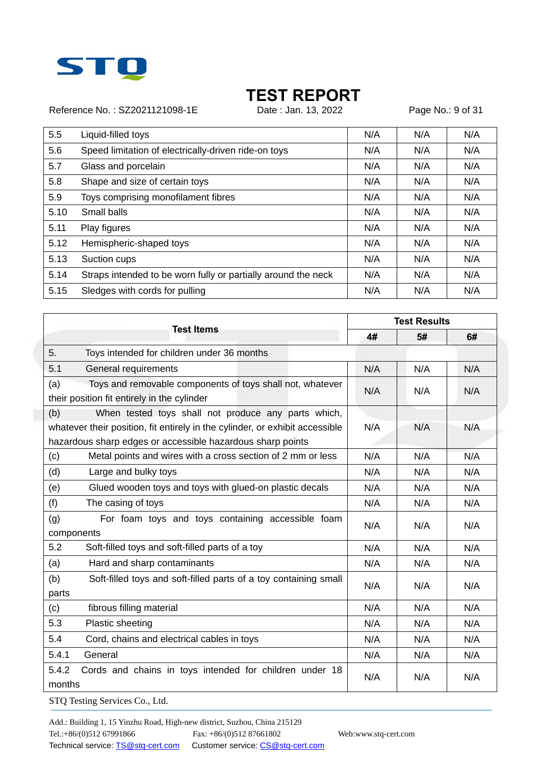

Reference No.: SZ2021121098-1E Date : Jan. 13, 2022 Page No.: 9 of 31

| 5.5  | Liquid-filled toys                                            | N/A | N/A | N/A |
|------|---------------------------------------------------------------|-----|-----|-----|
|      |                                                               |     |     |     |
| 5.6  | Speed limitation of electrically-driven ride-on toys          | N/A | N/A | N/A |
| 5.7  | Glass and porcelain                                           | N/A | N/A | N/A |
| 5.8  | Shape and size of certain toys                                | N/A | N/A | N/A |
| 5.9  | Toys comprising monofilament fibres                           | N/A | N/A | N/A |
| 5.10 | Small balls                                                   | N/A | N/A | N/A |
| 5.11 | Play figures                                                  | N/A | N/A | N/A |
| 5.12 | Hemispheric-shaped toys                                       | N/A | N/A | N/A |
| 5.13 | Suction cups                                                  | N/A | N/A | N/A |
| 5.14 | Straps intended to be worn fully or partially around the neck | N/A | N/A | N/A |
| 5.15 | Sledges with cords for pulling                                | N/A | N/A | N/A |

|                                                                                                                 |     | <b>Test Results</b> |     |  |
|-----------------------------------------------------------------------------------------------------------------|-----|---------------------|-----|--|
| <b>Test Items</b>                                                                                               | 4#  | 5#                  | 6#  |  |
| 5.<br>Toys intended for children under 36 months                                                                |     |                     |     |  |
| 5.1<br>General requirements                                                                                     | N/A | N/A                 | N/A |  |
| Toys and removable components of toys shall not, whatever<br>(a)<br>their position fit entirely in the cylinder | N/A | N/A                 | N/A |  |
| When tested toys shall not produce any parts which,<br>(b)                                                      |     |                     |     |  |
| whatever their position, fit entirely in the cylinder, or exhibit accessible                                    | N/A | N/A                 | N/A |  |
| hazardous sharp edges or accessible hazardous sharp points                                                      |     |                     |     |  |
| Metal points and wires with a cross section of 2 mm or less<br>(c)                                              | N/A | N/A                 | N/A |  |
| (d)<br>Large and bulky toys                                                                                     | N/A | N/A                 | N/A |  |
| (e)<br>Glued wooden toys and toys with glued-on plastic decals                                                  | N/A | N/A                 | N/A |  |
| (f)<br>The casing of toys                                                                                       | N/A | N/A                 | N/A |  |
| (g)<br>For foam toys and toys containing accessible foam<br>components                                          | N/A | N/A                 | N/A |  |
| 5.2<br>Soft-filled toys and soft-filled parts of a toy                                                          | N/A | N/A                 | N/A |  |
| (a)<br>Hard and sharp contaminants                                                                              | N/A | N/A                 | N/A |  |
| (b)<br>Soft-filled toys and soft-filled parts of a toy containing small<br>parts                                | N/A | N/A                 | N/A |  |
| fibrous filling material<br>(c)                                                                                 | N/A | N/A                 | N/A |  |
| 5.3<br>Plastic sheeting                                                                                         | N/A | N/A                 | N/A |  |
| 5.4<br>Cord, chains and electrical cables in toys                                                               | N/A | N/A                 | N/A |  |
| 5.4.1<br>General                                                                                                | N/A | N/A                 | N/A |  |
| 5.4.2<br>Cords and chains in toys intended for children under 18<br>months                                      | N/A | N/A                 | N/A |  |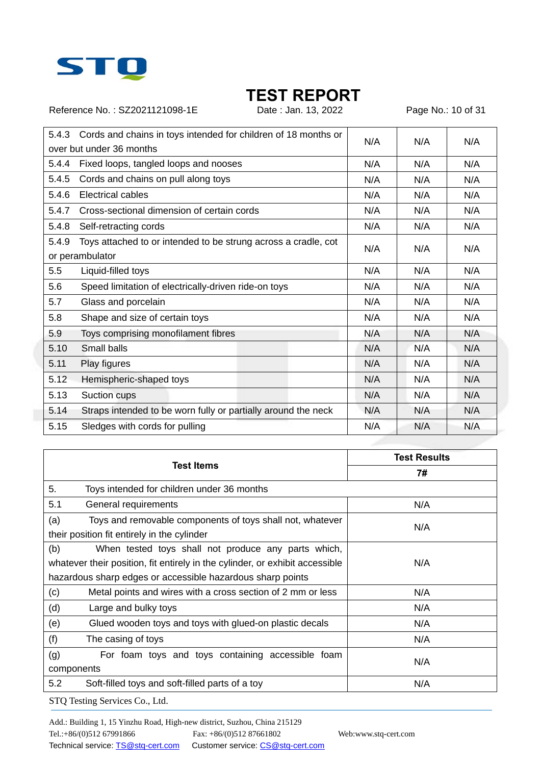

Reference No.: SZ2021121098-1E Date : Jan. 13, 2022 Page No.: 10 of 31

| 5.4.3 | Cords and chains in toys intended for children of 18 months or |     |     |     |
|-------|----------------------------------------------------------------|-----|-----|-----|
|       | over but under 36 months                                       | N/A | N/A | N/A |
| 5.4.4 | Fixed loops, tangled loops and nooses                          | N/A | N/A | N/A |
| 5.4.5 | Cords and chains on pull along toys                            | N/A | N/A | N/A |
| 5.4.6 | Electrical cables                                              | N/A | N/A | N/A |
| 5.4.7 | Cross-sectional dimension of certain cords                     | N/A | N/A | N/A |
| 5.4.8 | Self-retracting cords                                          | N/A | N/A | N/A |
| 5.4.9 | Toys attached to or intended to be strung across a cradle, cot | N/A | N/A | N/A |
|       | or perambulator                                                |     |     |     |
| 5.5   | Liquid-filled toys                                             | N/A | N/A | N/A |
| 5.6   | Speed limitation of electrically-driven ride-on toys           | N/A | N/A | N/A |
| 5.7   | Glass and porcelain                                            | N/A | N/A | N/A |
| 5.8   | Shape and size of certain toys                                 | N/A | N/A | N/A |
| 5.9   | Toys comprising monofilament fibres                            | N/A | N/A | N/A |
| 5.10  | Small balls                                                    | N/A | N/A | N/A |
| 5.11  | Play figures                                                   | N/A | N/A | N/A |
| 5.12  | Hemispheric-shaped toys                                        | N/A | N/A | N/A |
| 5.13  | Suction cups                                                   | N/A | N/A | N/A |
| 5.14  | Straps intended to be worn fully or partially around the neck  | N/A | N/A | N/A |
| 5.15  | Sledges with cords for pulling                                 | N/A | N/A | N/A |

| Test Items                                                                   | <b>Test Results</b> |
|------------------------------------------------------------------------------|---------------------|
|                                                                              | 7#                  |
| 5.<br>Toys intended for children under 36 months                             |                     |
| 5.1<br>General requirements                                                  | N/A                 |
| (a)<br>Toys and removable components of toys shall not, whatever             | N/A                 |
| their position fit entirely in the cylinder                                  |                     |
| (b)<br>When tested toys shall not produce any parts which,                   |                     |
| whatever their position, fit entirely in the cylinder, or exhibit accessible | N/A                 |
| hazardous sharp edges or accessible hazardous sharp points                   |                     |
| (c)<br>Metal points and wires with a cross section of 2 mm or less           | N/A                 |
| (d)<br>Large and bulky toys                                                  | N/A                 |
| (e)<br>Glued wooden toys and toys with glued-on plastic decals               | N/A                 |
| (f)<br>The casing of toys                                                    | N/A                 |
| (g)<br>For foam toys and toys containing accessible foam                     |                     |
| components                                                                   | N/A                 |
| 5.2<br>Soft-filled toys and soft-filled parts of a toy                       | N/A                 |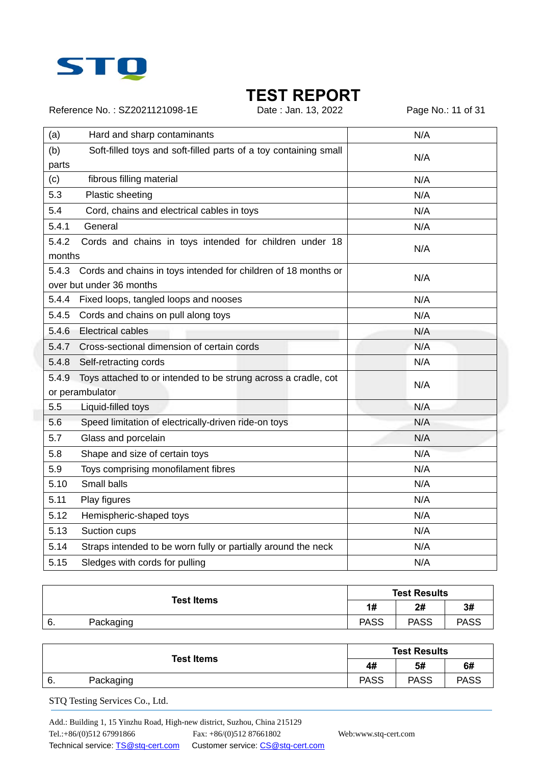

Reference No.: SZ2021121098-1E Date : Jan. 13, 2022 Page No.: 11 of 31

| (a)             | Hard and sharp contaminants                                                                | N/A |
|-----------------|--------------------------------------------------------------------------------------------|-----|
| (b)             | Soft-filled toys and soft-filled parts of a toy containing small                           |     |
| parts           |                                                                                            | N/A |
| (c)             | fibrous filling material                                                                   | N/A |
| 5.3             | Plastic sheeting                                                                           | N/A |
| 5.4             | Cord, chains and electrical cables in toys                                                 | N/A |
| 5.4.1           | General                                                                                    | N/A |
| 5.4.2<br>months | Cords and chains in toys intended for children under 18                                    | N/A |
| 5.4.3           | Cords and chains in toys intended for children of 18 months or<br>over but under 36 months | N/A |
| 5.4.4           | Fixed loops, tangled loops and nooses                                                      | N/A |
| 5.4.5           | Cords and chains on pull along toys                                                        | N/A |
| 5.4.6           | <b>Electrical cables</b>                                                                   | N/A |
| 5.4.7           | Cross-sectional dimension of certain cords                                                 | N/A |
| 5.4.8           | Self-retracting cords                                                                      | N/A |
| 5.4.9           | Toys attached to or intended to be strung across a cradle, cot                             | N/A |
|                 | or perambulator                                                                            |     |
| 5.5             | Liquid-filled toys                                                                         | N/A |
| 5.6             | Speed limitation of electrically-driven ride-on toys                                       | N/A |
| 5.7             | Glass and porcelain                                                                        | N/A |
| 5.8             | Shape and size of certain toys                                                             | N/A |
| 5.9             | Toys comprising monofilament fibres                                                        | N/A |
| 5.10            | Small balls                                                                                | N/A |
| 5.11            | Play figures                                                                               | N/A |
| 5.12            | Hemispheric-shaped toys                                                                    | N/A |
| 5.13            | Suction cups                                                                               | N/A |
| 5.14            | Straps intended to be worn fully or partially around the neck                              | N/A |
| 5.15            | Sledges with cords for pulling                                                             | N/A |

| <b>Test Items</b> | <b>Test Results</b> |             |             |             |
|-------------------|---------------------|-------------|-------------|-------------|
|                   | 1#                  | 2#          | 3#          |             |
| 6.                | Packaging           | <b>PASS</b> | <b>PASS</b> | <b>PASS</b> |

| <b>Test Items</b> | <b>Test Results</b> |             |             |             |
|-------------------|---------------------|-------------|-------------|-------------|
|                   | 4#                  | 5#          | 6#          |             |
| -6.               | Packaging           | <b>PASS</b> | <b>PASS</b> | <b>PASS</b> |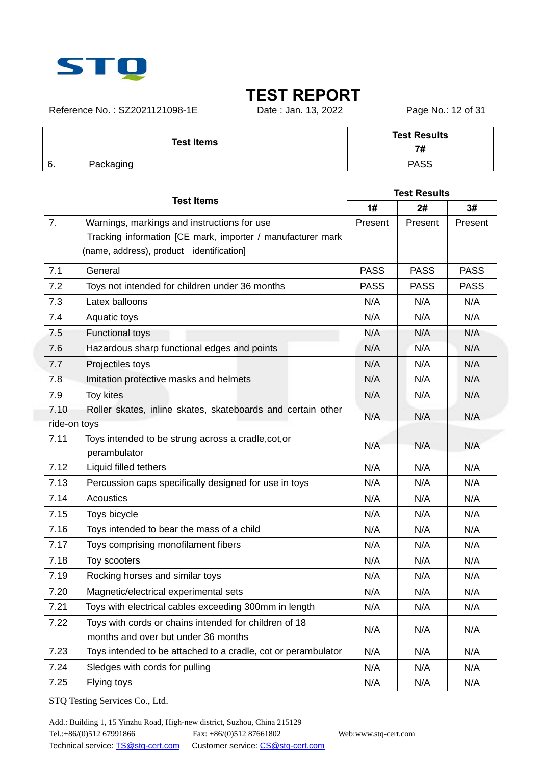

Reference No.: SZ2021121098-1E Date : Jan. 13, 2022 Page No.: 12 of 31

|    | <b>Test Items</b> | <b>Test Results</b> |
|----|-------------------|---------------------|
|    | 7#                |                     |
| 6. | Packaging         | <b>PASS</b>         |
|    |                   |                     |

| <b>Test Items</b>                                                     | <b>Test Results</b> |             |             |
|-----------------------------------------------------------------------|---------------------|-------------|-------------|
|                                                                       |                     | 2#          | 3#          |
| 7.<br>Warnings, markings and instructions for use                     | Present             | Present     | Present     |
| Tracking information [CE mark, importer / manufacturer mark           |                     |             |             |
| (name, address), product identification]                              |                     |             |             |
| 7.1<br>General                                                        | <b>PASS</b>         | <b>PASS</b> | <b>PASS</b> |
| 7.2<br>Toys not intended for children under 36 months                 | <b>PASS</b>         | <b>PASS</b> | <b>PASS</b> |
| 7.3<br>Latex balloons                                                 | N/A                 | N/A         | N/A         |
| 7.4<br>Aquatic toys                                                   | N/A                 | N/A         | N/A         |
| 7.5<br><b>Functional toys</b>                                         | N/A                 | N/A         | N/A         |
| 7.6<br>Hazardous sharp functional edges and points                    | N/A                 | N/A         | N/A         |
| 7.7<br>Projectiles toys                                               | N/A                 | N/A         | N/A         |
| Imitation protective masks and helmets<br>7.8                         | N/A                 | N/A         | N/A         |
| 7.9<br>Toy kites                                                      | N/A                 | N/A         | N/A         |
| 7.10<br>Roller skates, inline skates, skateboards and certain other   | N/A                 | N/A         | N/A         |
| ride-on toys                                                          |                     |             |             |
| 7.11<br>Toys intended to be strung across a cradle, cot, or           | N/A                 | N/A         | N/A         |
| perambulator                                                          |                     |             |             |
| 7.12<br>Liquid filled tethers                                         | N/A                 | N/A         | N/A         |
| 7.13<br>Percussion caps specifically designed for use in toys         | N/A                 | N/A         | N/A         |
| 7.14<br>Acoustics                                                     | N/A                 | N/A         | N/A         |
| 7.15<br>Toys bicycle                                                  | N/A                 | N/A         | N/A         |
| 7.16<br>Toys intended to bear the mass of a child                     | N/A                 | N/A         | N/A         |
| 7.17<br>Toys comprising monofilament fibers                           | N/A                 | N/A         | N/A         |
| 7.18<br>Toy scooters                                                  | N/A                 | N/A         | N/A         |
| 7.19<br>Rocking horses and similar toys                               | N/A                 | N/A         | N/A         |
| 7.20<br>Magnetic/electrical experimental sets                         | N/A                 | N/A         | N/A         |
| 7.21<br>Toys with electrical cables exceeding 300mm in length         | N/A                 | N/A         | N/A         |
| Toys with cords or chains intended for children of 18<br>7.22         | N/A                 | N/A         | N/A         |
| months and over but under 36 months                                   |                     |             |             |
| 7.23<br>Toys intended to be attached to a cradle, cot or perambulator | N/A                 | N/A         | N/A         |
| 7.24<br>Sledges with cords for pulling                                | N/A                 | N/A         | N/A         |
| 7.25<br>Flying toys                                                   | N/A                 | N/A         | N/A         |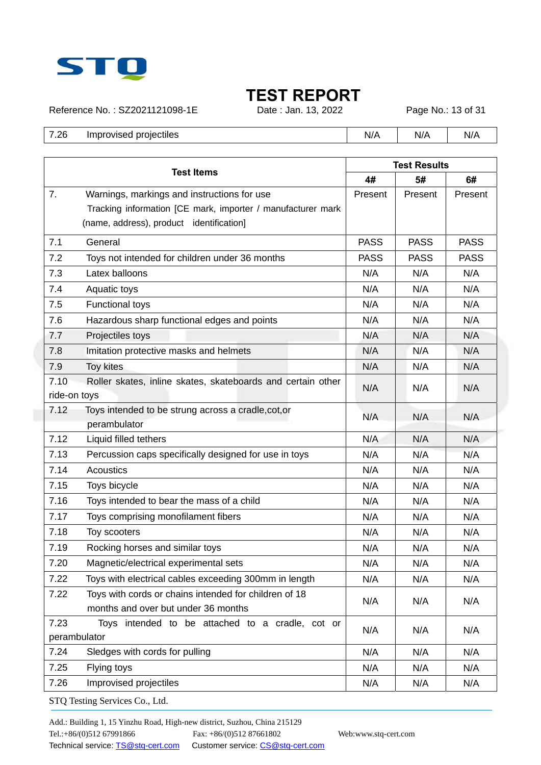

Reference No.: SZ2021121098-1E Date : Jan. 13, 2022 Page No.: 13 of 31

7.26 Improvised projectiles **N/A** N/A N/A N/A N/A

|              | <b>Test Items</b>                                           |             | <b>Test Results</b> |             |  |  |
|--------------|-------------------------------------------------------------|-------------|---------------------|-------------|--|--|
|              |                                                             | 4#          | 5#                  | 6#          |  |  |
| 7.           | Warnings, markings and instructions for use                 | Present     | Present             | Present     |  |  |
|              | Tracking information [CE mark, importer / manufacturer mark |             |                     |             |  |  |
|              | (name, address), product identification]                    |             |                     |             |  |  |
| 7.1          | General                                                     | <b>PASS</b> | <b>PASS</b>         | <b>PASS</b> |  |  |
| 7.2          | Toys not intended for children under 36 months              | <b>PASS</b> | <b>PASS</b>         | <b>PASS</b> |  |  |
| 7.3          | Latex balloons                                              | N/A         | N/A                 | N/A         |  |  |
| 7.4          | Aquatic toys                                                | N/A         | N/A                 | N/A         |  |  |
| 7.5          | <b>Functional toys</b>                                      | N/A         | N/A                 | N/A         |  |  |
| 7.6          | Hazardous sharp functional edges and points                 | N/A         | N/A                 | N/A         |  |  |
| 7.7          | Projectiles toys                                            | N/A         | N/A                 | N/A         |  |  |
| 7.8          | Imitation protective masks and helmets                      | N/A         | N/A                 | N/A         |  |  |
| 7.9          | <b>Toy kites</b>                                            | N/A         | N/A                 | N/A         |  |  |
| 7.10         | Roller skates, inline skates, skateboards and certain other | N/A         | N/A                 | N/A         |  |  |
| ride-on toys |                                                             |             |                     |             |  |  |
| 7.12         | Toys intended to be strung across a cradle, cot, or         | N/A         | N/A                 | N/A         |  |  |
| 7.12         | perambulator<br>Liquid filled tethers                       | N/A         | N/A                 | N/A         |  |  |
| 7.13         | Percussion caps specifically designed for use in toys       | N/A         | N/A                 | N/A         |  |  |
| 7.14         | Acoustics                                                   | N/A         | N/A                 | N/A         |  |  |
| 7.15         | Toys bicycle                                                | N/A         | N/A                 | N/A         |  |  |
| 7.16         | Toys intended to bear the mass of a child                   | N/A         | N/A                 | N/A         |  |  |
| 7.17         | Toys comprising monofilament fibers                         | N/A         | N/A                 | N/A         |  |  |
| 7.18         | Toy scooters                                                | N/A         | N/A                 | N/A         |  |  |
| 7.19         | Rocking horses and similar toys                             | N/A         | N/A                 | N/A         |  |  |
| 7.20         | Magnetic/electrical experimental sets                       | N/A         | N/A                 | N/A         |  |  |
| 7.22         | Toys with electrical cables exceeding 300mm in length       | N/A         | N/A                 | N/A         |  |  |
| 7.22         | Toys with cords or chains intended for children of 18       |             |                     |             |  |  |
|              | months and over but under 36 months                         | N/A         | N/A                 | N/A         |  |  |
| 7.23         | Toys intended to be attached to a cradle, cot or            |             |                     |             |  |  |
| perambulator |                                                             | N/A         | N/A                 | N/A         |  |  |
| 7.24         | Sledges with cords for pulling                              | N/A         | N/A                 | N/A         |  |  |
| 7.25         | Flying toys                                                 | N/A         | N/A                 | N/A         |  |  |
| 7.26         | Improvised projectiles                                      | N/A         | N/A                 | N/A         |  |  |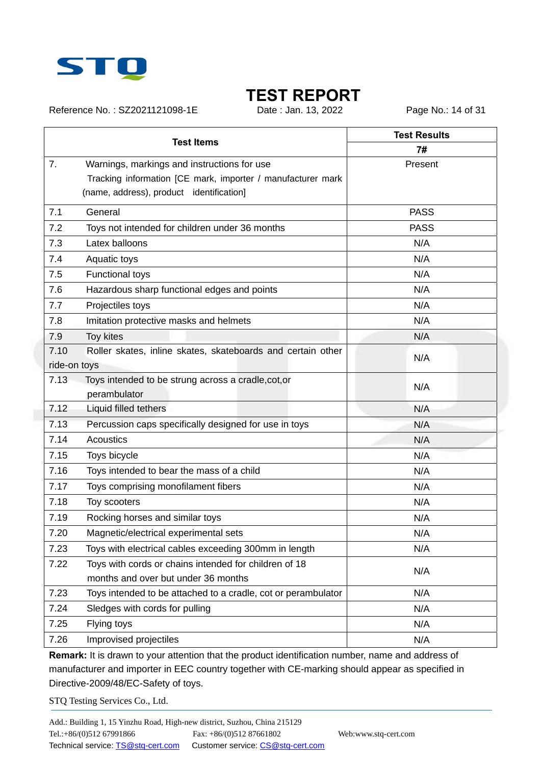

Reference No.: SZ2021121098-1E Date : Jan. 13, 2022 Page No.: 14 of 31

|              |                                                               | <b>Test Results</b> |
|--------------|---------------------------------------------------------------|---------------------|
|              | <b>Test Items</b>                                             | 7#                  |
| 7.           | Warnings, markings and instructions for use                   | Present             |
|              | Tracking information [CE mark, importer / manufacturer mark   |                     |
|              | (name, address), product identification]                      |                     |
| 7.1          | General                                                       | <b>PASS</b>         |
| 7.2          | Toys not intended for children under 36 months                | <b>PASS</b>         |
| 7.3          | Latex balloons                                                | N/A                 |
| 7.4          | Aquatic toys                                                  | N/A                 |
| 7.5          | Functional toys                                               | N/A                 |
| 7.6          | Hazardous sharp functional edges and points                   | N/A                 |
| 7.7          | Projectiles toys                                              | N/A                 |
| 7.8          | Imitation protective masks and helmets                        | N/A                 |
| 7.9          | <b>Toy kites</b>                                              | N/A                 |
| 7.10         | Roller skates, inline skates, skateboards and certain other   | N/A                 |
| ride-on toys |                                                               |                     |
| 7.13         | Toys intended to be strung across a cradle, cot, or           | N/A                 |
|              | perambulator                                                  |                     |
| 7.12         | Liquid filled tethers                                         | N/A                 |
| 7.13         | Percussion caps specifically designed for use in toys         | N/A                 |
| 7.14         | <b>Acoustics</b>                                              | N/A                 |
| 7.15         | Toys bicycle                                                  | N/A                 |
| 7.16         | Toys intended to bear the mass of a child                     | N/A                 |
| 7.17         | Toys comprising monofilament fibers                           | N/A                 |
| 7.18         | Toy scooters                                                  | N/A                 |
| 7.19         | Rocking horses and similar toys                               | N/A                 |
| 7.20         | Magnetic/electrical experimental sets                         | N/A                 |
| 7.23         | Toys with electrical cables exceeding 300mm in length         | N/A                 |
| 7.22         | Toys with cords or chains intended for children of 18         | N/A                 |
|              | months and over but under 36 months                           |                     |
| 7.23         | Toys intended to be attached to a cradle, cot or perambulator | N/A                 |
| 7.24         | Sledges with cords for pulling                                | N/A                 |
| 7.25         | Flying toys                                                   | N/A                 |
| 7.26         | Improvised projectiles                                        | N/A                 |

**Remark:** It is drawn to your attention that the product identification number, name and address of manufacturer and importer in EEC country together with CE-marking should appear as specified in Directive-2009/48/EC-Safety of toys.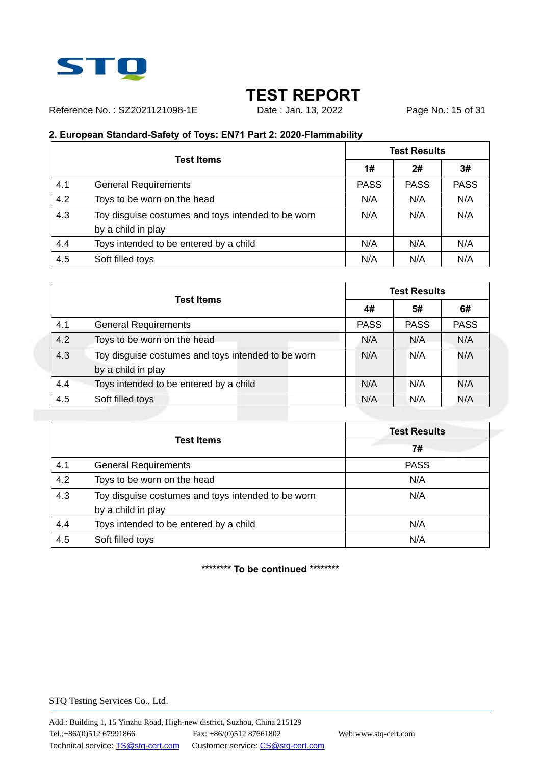

Reference No.: SZ2021121098-1E Date: Jan. 13, 2022 Page No.: 15 of 31

### **2. European Standard-Safety of Toys: EN71 Part 2: 2020-Flammability**

|     | <b>Test Items</b>                                  | <b>Test Results</b> |             |             |
|-----|----------------------------------------------------|---------------------|-------------|-------------|
|     |                                                    | 1#                  | 2#          | 3#          |
| 4.1 | <b>General Requirements</b>                        | <b>PASS</b>         | <b>PASS</b> | <b>PASS</b> |
| 4.2 | Toys to be worn on the head                        | N/A                 | N/A         | N/A         |
| 4.3 | Toy disguise costumes and toys intended to be worn | N/A                 | N/A         | N/A         |
|     | by a child in play                                 |                     |             |             |
| 4.4 | Toys intended to be entered by a child             | N/A                 | N/A         | N/A         |
| 4.5 | Soft filled toys                                   | N/A                 | N/A         | N/A         |

|     | <b>Test Items</b>                                                        |             | <b>Test Results</b> |             |  |  |
|-----|--------------------------------------------------------------------------|-------------|---------------------|-------------|--|--|
|     |                                                                          |             | 5#                  | 6#          |  |  |
| 4.1 | <b>General Requirements</b>                                              | <b>PASS</b> | <b>PASS</b>         | <b>PASS</b> |  |  |
| 4.2 | Toys to be worn on the head                                              | N/A         | N/A                 | N/A         |  |  |
| 4.3 | Toy disguise costumes and toys intended to be worn<br>by a child in play | N/A         | N/A                 | N/A         |  |  |
| 4.4 | Toys intended to be entered by a child                                   | N/A         | N/A                 | N/A         |  |  |
| 4.5 | Soft filled toys                                                         | N/A         | N/A                 | N/A         |  |  |

|     |                                                    | <b>Test Results</b> |
|-----|----------------------------------------------------|---------------------|
|     | <b>Test Items</b>                                  | 7#                  |
| 4.1 | <b>General Requirements</b>                        | <b>PASS</b>         |
| 4.2 | Toys to be worn on the head                        | N/A                 |
| 4.3 | Toy disguise costumes and toys intended to be worn | N/A                 |
|     | by a child in play                                 |                     |
| 4.4 | Toys intended to be entered by a child             | N/A                 |
| 4.5 | Soft filled toys                                   | N/A                 |

**\*\*\*\*\*\*\*\* To be continued \*\*\*\*\*\*\*\***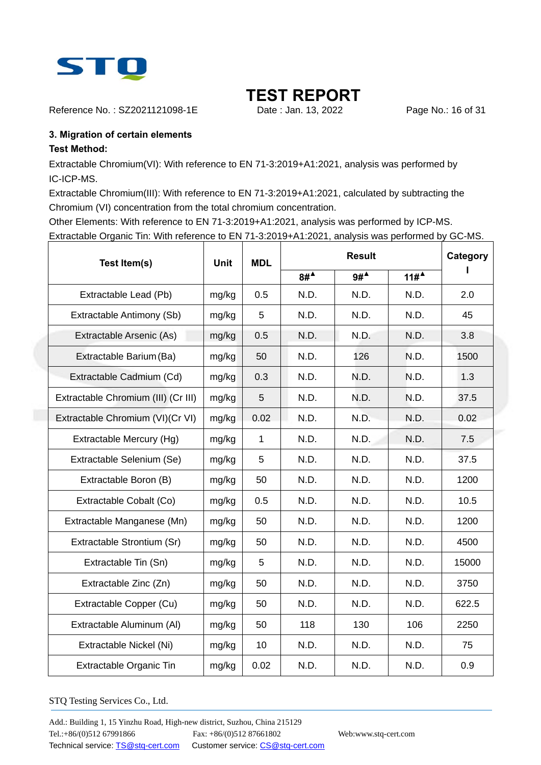

Reference No.: SZ2021121098-1E Date : Jan. 13, 2022 Page No.: 16 of 31

### **3. Migration of certain elements**

### **Test Method:**

Extractable Chromium(VI): With reference to EN 71-3:2019+A1:2021, analysis was performed by IC-ICP-MS.

Extractable Chromium(III): With reference to EN 71-3:2019+A1:2021, calculated by subtracting the Chromium (VI) concentration from the total chromium concentration.

Other Elements: With reference to EN 71-3:2019+A1:2021, analysis was performed by ICP-MS. Extractable Organic Tin: With reference to EN 71-3:2019+A1:2021, analysis was performed by GC-MS.

| Test Item(s)                        | <b>Unit</b> | <b>MDL</b>   |                       | <b>Result</b>         |        |       |  |
|-------------------------------------|-------------|--------------|-----------------------|-----------------------|--------|-------|--|
|                                     |             |              | $8#^{\blacktriangle}$ | $9#^{\blacktriangle}$ | $11\#$ |       |  |
| Extractable Lead (Pb)               | mg/kg       | 0.5          | N.D.                  | N.D.                  | N.D.   | 2.0   |  |
| Extractable Antimony (Sb)           | mg/kg       | 5            | N.D.                  | N.D.                  | N.D.   | 45    |  |
| Extractable Arsenic (As)            | mg/kg       | 0.5          | N.D.                  | N.D.                  | N.D.   | 3.8   |  |
| Extractable Barium (Ba)             | mg/kg       | 50           | N.D.                  | 126                   | N.D.   | 1500  |  |
| Extractable Cadmium (Cd)            | mg/kg       | 0.3          | N.D.                  | N.D.                  | N.D.   | 1.3   |  |
| Extractable Chromium (III) (Cr III) | mg/kg       | 5            | N.D.                  | N.D.                  | N.D.   | 37.5  |  |
| Extractable Chromium (VI)(Cr VI)    | mg/kg       | 0.02         | N.D.                  | N.D.                  | N.D.   | 0.02  |  |
| Extractable Mercury (Hg)            | mg/kg       | $\mathbf{1}$ | N.D.                  | N.D.                  | N.D.   | 7.5   |  |
| Extractable Selenium (Se)           | mg/kg       | 5            | N.D.                  | N.D.                  | N.D.   | 37.5  |  |
| Extractable Boron (B)               | mg/kg       | 50           | N.D.                  | N.D.                  | N.D.   | 1200  |  |
| Extractable Cobalt (Co)             | mg/kg       | 0.5          | N.D.                  | N.D.                  | N.D.   | 10.5  |  |
| Extractable Manganese (Mn)          | mg/kg       | 50           | N.D.                  | N.D.                  | N.D.   | 1200  |  |
| Extractable Strontium (Sr)          | mg/kg       | 50           | N.D.                  | N.D.                  | N.D.   | 4500  |  |
| Extractable Tin (Sn)                | mg/kg       | 5            | N.D.                  | N.D.                  | N.D.   | 15000 |  |
| Extractable Zinc (Zn)               | mg/kg       | 50           | N.D.                  | N.D.                  | N.D.   | 3750  |  |
| Extractable Copper (Cu)             | mg/kg       | 50           | N.D.                  | N.D.                  | N.D.   | 622.5 |  |
| Extractable Aluminum (AI)           | mg/kg       | 50           | 118                   | 130                   | 106    | 2250  |  |
| Extractable Nickel (Ni)             | mg/kg       | 10           | N.D.                  | N.D.                  | N.D.   | 75    |  |
| Extractable Organic Tin             | mg/kg       | 0.02         | N.D.                  | N.D.                  | N.D.   | 0.9   |  |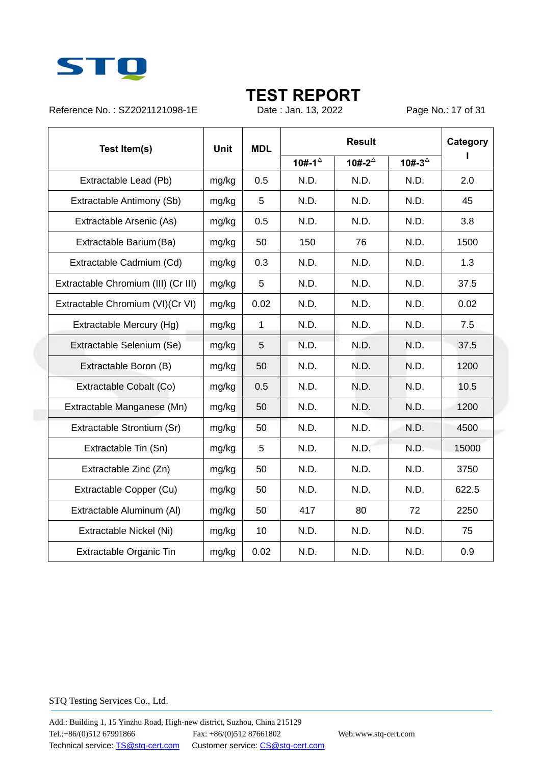

Reference No.: SZ2021121098-1E Date : Jan. 13, 2022 Page No.: 17 of 31

| Test Item(s)                        | <b>Unit</b> | <b>MDL</b>   |                      | <b>Result</b>        |                      |       |  |
|-------------------------------------|-------------|--------------|----------------------|----------------------|----------------------|-------|--|
|                                     |             |              | 10#-1 $^{\triangle}$ | 10#-2 $^{\triangle}$ | 10#-3 $^{\triangle}$ |       |  |
| Extractable Lead (Pb)               | mg/kg       | 0.5          | N.D.                 | N.D.                 | N.D.                 | 2.0   |  |
| Extractable Antimony (Sb)           | mg/kg       | 5            | N.D.                 | N.D.                 | N.D.                 | 45    |  |
| Extractable Arsenic (As)            | mg/kg       | 0.5          | N.D.                 | N.D.                 | N.D.                 | 3.8   |  |
| Extractable Barium (Ba)             | mg/kg       | 50           | 150                  | 76                   | N.D.                 | 1500  |  |
| Extractable Cadmium (Cd)            | mg/kg       | 0.3          | N.D.                 | N.D.                 | N.D.                 | 1.3   |  |
| Extractable Chromium (III) (Cr III) | mg/kg       | 5            | N.D.                 | N.D.                 | N.D.                 | 37.5  |  |
| Extractable Chromium (VI)(Cr VI)    | mg/kg       | 0.02         | N.D.                 | N.D.                 | N.D.                 | 0.02  |  |
| Extractable Mercury (Hg)            | mg/kg       | $\mathbf{1}$ | N.D.                 | N.D.                 | N.D.                 | 7.5   |  |
| Extractable Selenium (Se)           | mg/kg       | 5            | N.D.                 | N.D.                 | N.D.                 | 37.5  |  |
| Extractable Boron (B)               | mg/kg       | 50           | N.D.                 | N.D.                 | N.D.                 | 1200  |  |
| Extractable Cobalt (Co)             | mg/kg       | 0.5          | N.D.                 | N.D.                 | N.D.                 | 10.5  |  |
| Extractable Manganese (Mn)          | mg/kg       | 50           | N.D.                 | N.D.                 | N.D.                 | 1200  |  |
| Extractable Strontium (Sr)          | mg/kg       | 50           | N.D.                 | N.D.                 | N.D.                 | 4500  |  |
| Extractable Tin (Sn)                | mg/kg       | 5            | N.D.                 | N.D.                 | N.D.                 | 15000 |  |
| Extractable Zinc (Zn)               | mg/kg       | 50           | N.D.                 | N.D.                 | N.D.                 | 3750  |  |
| Extractable Copper (Cu)             | mg/kg       | 50           | N.D.                 | N.D.                 | N.D.                 | 622.5 |  |
| Extractable Aluminum (AI)           | mg/kg       | 50           | 417                  | 80                   | 72                   | 2250  |  |
| Extractable Nickel (Ni)             | mg/kg       | 10           | N.D.                 | N.D.                 | N.D.                 | 75    |  |
| Extractable Organic Tin             | mg/kg       | 0.02         | N.D.                 | N.D.                 | N.D.                 | 0.9   |  |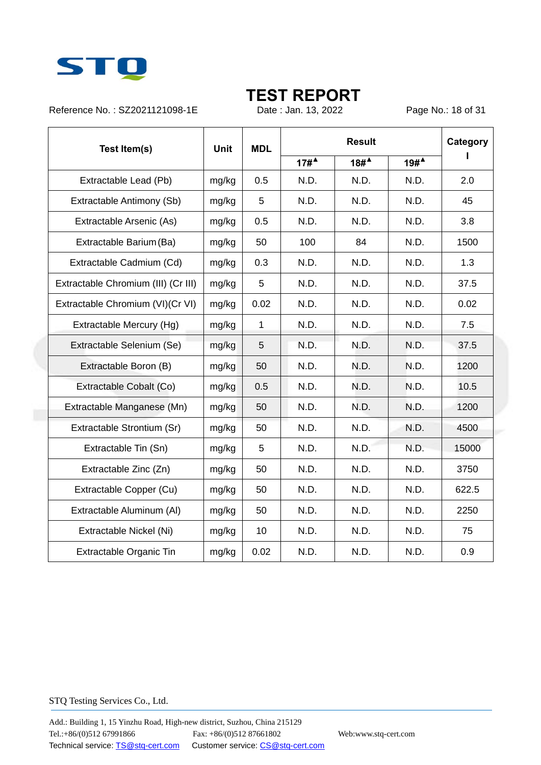

Reference No.: SZ2021121098-1E Date : Jan. 13, 2022 Page No.: 18 of 31

| Test Item(s)                        | <b>Unit</b> | <b>MDL</b>   |                   | <b>Result</b> |                   |       |  |
|-------------------------------------|-------------|--------------|-------------------|---------------|-------------------|-------|--|
|                                     |             |              | $17#^{\triangle}$ | $18#^4$       | $19#^{\triangle}$ |       |  |
| Extractable Lead (Pb)               | mg/kg       | 0.5          | N.D.              | N.D.          | N.D.              | 2.0   |  |
| Extractable Antimony (Sb)           | mg/kg       | 5            | N.D.              | N.D.          | N.D.              | 45    |  |
| Extractable Arsenic (As)            | mg/kg       | 0.5          | N.D.              | N.D.          | N.D.              | 3.8   |  |
| Extractable Barium (Ba)             | mg/kg       | 50           | 100               | 84            | N.D.              | 1500  |  |
| Extractable Cadmium (Cd)            | mg/kg       | 0.3          | N.D.              | N.D.          | N.D.              | 1.3   |  |
| Extractable Chromium (III) (Cr III) | mg/kg       | 5            | N.D.              | N.D.          | N.D.              | 37.5  |  |
| Extractable Chromium (VI)(Cr VI)    | mg/kg       | 0.02         | N.D.              | N.D.          | N.D.              | 0.02  |  |
| Extractable Mercury (Hg)            | mg/kg       | $\mathbf{1}$ | N.D.              | N.D.          | N.D.              | 7.5   |  |
| Extractable Selenium (Se)           | mg/kg       | 5            | N.D.              | N.D.          | N.D.              | 37.5  |  |
| Extractable Boron (B)               | mg/kg       | 50           | N.D.              | N.D.          | N.D.              | 1200  |  |
| Extractable Cobalt (Co)             | mg/kg       | 0.5          | N.D.              | N.D.          | N.D.              | 10.5  |  |
| Extractable Manganese (Mn)          | mg/kg       | 50           | N.D.              | N.D.          | N.D.              | 1200  |  |
| Extractable Strontium (Sr)          | mg/kg       | 50           | N.D.              | N.D.          | N.D.              | 4500  |  |
| Extractable Tin (Sn)                | mg/kg       | 5            | N.D.              | N.D.          | N.D.              | 15000 |  |
| Extractable Zinc (Zn)               | mg/kg       | 50           | N.D.              | N.D.          | N.D.              | 3750  |  |
| Extractable Copper (Cu)             | mg/kg       | 50           | N.D.              | N.D.          | N.D.              | 622.5 |  |
| Extractable Aluminum (AI)           | mg/kg       | 50           | N.D.              | N.D.          | N.D.              | 2250  |  |
| Extractable Nickel (Ni)             | mg/kg       | 10           | N.D.              | N.D.          | N.D.              | 75    |  |
| Extractable Organic Tin             | mg/kg       | 0.02         | N.D.              | N.D.          | N.D.              | 0.9   |  |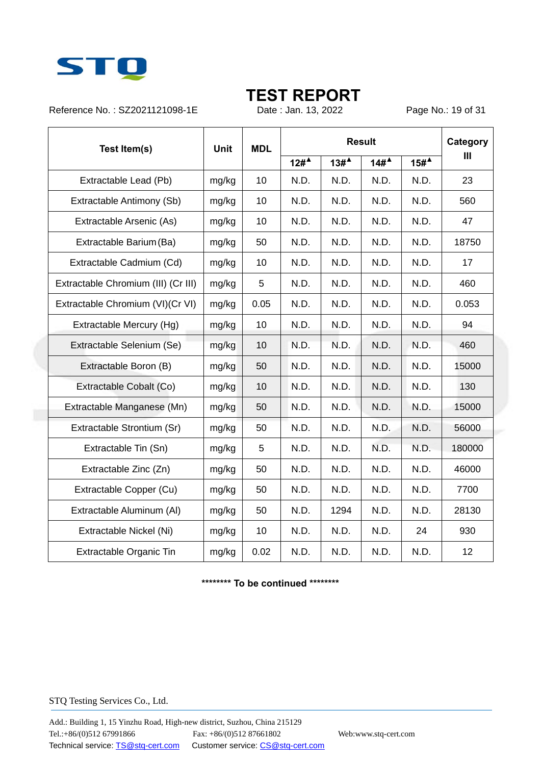

Reference No.: SZ2021121098-1E Date: Jan. 13, 2022 Page No.: 19 of 31

| Test Item(s)                        | <b>Unit</b> | <b>MDL</b> | <b>Result</b> |                  |      |         | Category       |
|-------------------------------------|-------------|------------|---------------|------------------|------|---------|----------------|
|                                     |             |            | $12#^4$       | 13# <sup>4</sup> | 14#  | $15#^4$ | $\mathbf{III}$ |
| Extractable Lead (Pb)               | mg/kg       | 10         | N.D.          | N.D.             | N.D. | N.D.    | 23             |
| Extractable Antimony (Sb)           | mg/kg       | 10         | N.D.          | N.D.             | N.D. | N.D.    | 560            |
| Extractable Arsenic (As)            | mg/kg       | 10         | N.D.          | N.D.             | N.D. | N.D.    | 47             |
| Extractable Barium (Ba)             | mg/kg       | 50         | N.D.          | N.D.             | N.D. | N.D.    | 18750          |
| Extractable Cadmium (Cd)            | mg/kg       | 10         | N.D.          | N.D.             | N.D. | N.D.    | 17             |
| Extractable Chromium (III) (Cr III) | mg/kg       | 5          | N.D.          | N.D.             | N.D. | N.D.    | 460            |
| Extractable Chromium (VI)(Cr VI)    | mg/kg       | 0.05       | N.D.          | N.D.             | N.D. | N.D.    | 0.053          |
| Extractable Mercury (Hg)            | mg/kg       | 10         | N.D.          | N.D.             | N.D. | N.D.    | 94             |
| Extractable Selenium (Se)           | mg/kg       | 10         | N.D.          | N.D.             | N.D. | N.D.    | 460            |
| Extractable Boron (B)               | mg/kg       | 50         | N.D.          | N.D.             | N.D. | N.D.    | 15000          |
| Extractable Cobalt (Co)             | mg/kg       | 10         | N.D.          | N.D.             | N.D. | N.D.    | 130            |
| Extractable Manganese (Mn)          | mg/kg       | 50         | N.D.          | N.D.             | N.D. | N.D.    | 15000          |
| Extractable Strontium (Sr)          | mg/kg       | 50         | N.D.          | N.D.             | N.D. | N.D.    | 56000          |
| Extractable Tin (Sn)                | mg/kg       | 5          | N.D.          | N.D.             | N.D. | N.D.    | 180000         |
| Extractable Zinc (Zn)               | mg/kg       | 50         | N.D.          | N.D.             | N.D. | N.D.    | 46000          |
| Extractable Copper (Cu)             | mg/kg       | 50         | N.D.          | N.D.             | N.D. | N.D.    | 7700           |
| Extractable Aluminum (Al)           | mg/kg       | 50         | N.D.          | 1294             | N.D. | N.D.    | 28130          |
| Extractable Nickel (Ni)             | mg/kg       | 10         | N.D.          | N.D.             | N.D. | 24      | 930            |
| Extractable Organic Tin             | mg/kg       | 0.02       | N.D.          | N.D.             | N.D. | N.D.    | 12             |

**\*\*\*\*\*\*\*\* To be continued \*\*\*\*\*\*\*\***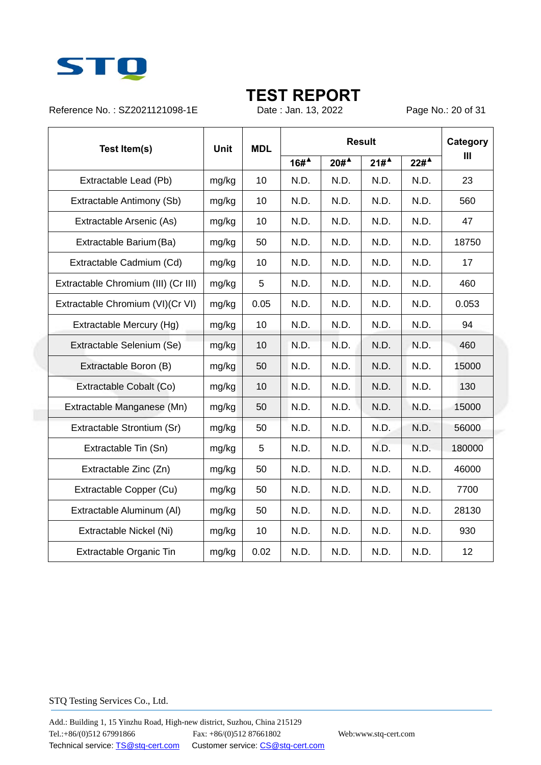

Reference No.: SZ2021121098-1E Date : Jan. 13, 2022 Page No.: 20 of 31

| Test Item(s)                        | <b>MDL</b><br><b>Unit</b> |      | <b>Result</b> |         |      |                  | Category |
|-------------------------------------|---------------------------|------|---------------|---------|------|------------------|----------|
|                                     |                           |      | $16#^4$       | $20#^4$ | 21#  | 22# <sup>4</sup> | Ш        |
| Extractable Lead (Pb)               | mg/kg                     | 10   | N.D.          | N.D.    | N.D. | N.D.             | 23       |
| Extractable Antimony (Sb)           | mg/kg                     | 10   | N.D.          | N.D.    | N.D. | N.D.             | 560      |
| Extractable Arsenic (As)            | mg/kg                     | 10   | N.D.          | N.D.    | N.D. | N.D.             | 47       |
| Extractable Barium (Ba)             | mg/kg                     | 50   | N.D.          | N.D.    | N.D. | N.D.             | 18750    |
| Extractable Cadmium (Cd)            | mg/kg                     | 10   | N.D.          | N.D.    | N.D. | N.D.             | 17       |
| Extractable Chromium (III) (Cr III) | mg/kg                     | 5    | N.D.          | N.D.    | N.D. | N.D.             | 460      |
| Extractable Chromium (VI)(Cr VI)    | mg/kg                     | 0.05 | N.D.          | N.D.    | N.D. | N.D.             | 0.053    |
| Extractable Mercury (Hg)            | mg/kg                     | 10   | N.D.          | N.D.    | N.D. | N.D.             | 94       |
| Extractable Selenium (Se)           | mg/kg                     | 10   | N.D.          | N.D.    | N.D. | N.D.             | 460      |
| Extractable Boron (B)               | mg/kg                     | 50   | N.D.          | N.D.    | N.D. | N.D.             | 15000    |
| Extractable Cobalt (Co)             | mg/kg                     | 10   | N.D.          | N.D.    | N.D. | N.D.             | 130      |
| Extractable Manganese (Mn)          | mg/kg                     | 50   | N.D.          | N.D.    | N.D. | N.D.             | 15000    |
| Extractable Strontium (Sr)          | mg/kg                     | 50   | N.D.          | N.D.    | N.D. | N.D.             | 56000    |
| Extractable Tin (Sn)                | mg/kg                     | 5    | N.D.          | N.D.    | N.D. | N.D.             | 180000   |
| Extractable Zinc (Zn)               | mg/kg                     | 50   | N.D.          | N.D.    | N.D. | N.D.             | 46000    |
| Extractable Copper (Cu)             | mg/kg                     | 50   | N.D.          | N.D.    | N.D. | N.D.             | 7700     |
| Extractable Aluminum (Al)           | mg/kg                     | 50   | N.D.          | N.D.    | N.D. | N.D.             | 28130    |
| Extractable Nickel (Ni)             | mg/kg                     | 10   | N.D.          | N.D.    | N.D. | N.D.             | 930      |
| Extractable Organic Tin             | mg/kg                     | 0.02 | N.D.          | N.D.    | N.D. | N.D.             | 12       |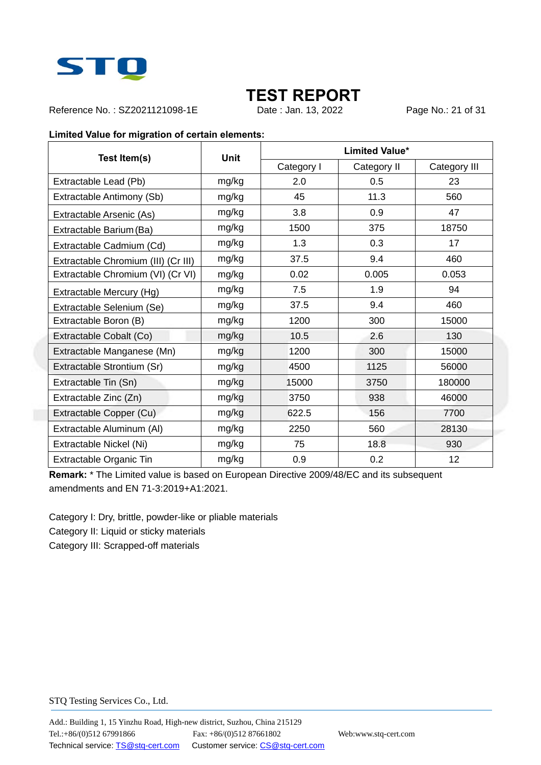

Reference No.: SZ2021121098-1E Date: Jan. 13, 2022 Page No.: 21 of 31

#### **Limited Value for migration of certain elements:**

| Test Item(s)                        | <b>Unit</b> | <b>Limited Value*</b> |             |              |  |  |
|-------------------------------------|-------------|-----------------------|-------------|--------------|--|--|
|                                     |             | Category I            | Category II | Category III |  |  |
| Extractable Lead (Pb)               | mg/kg       | 2.0                   | 0.5         | 23           |  |  |
| Extractable Antimony (Sb)           | mg/kg       | 45                    | 11.3        | 560          |  |  |
| Extractable Arsenic (As)            | mg/kg       | 3.8                   | 0.9         | 47           |  |  |
| Extractable Barium (Ba)             | mg/kg       | 1500                  | 375         | 18750        |  |  |
| Extractable Cadmium (Cd)            | mg/kg       | 1.3                   | 0.3         | 17           |  |  |
| Extractable Chromium (III) (Cr III) | mg/kg       | 37.5                  | 9.4         | 460          |  |  |
| Extractable Chromium (VI) (Cr VI)   | mg/kg       | 0.02                  | 0.005       | 0.053        |  |  |
| Extractable Mercury (Hg)            | mg/kg       | 7.5                   | 1.9         | 94           |  |  |
| Extractable Selenium (Se)           | mg/kg       | 37.5                  | 9.4         | 460          |  |  |
| Extractable Boron (B)               | mg/kg       | 1200                  | 300         | 15000        |  |  |
| Extractable Cobalt (Co)             | mg/kg       | 10.5                  | 2.6         | 130          |  |  |
| Extractable Manganese (Mn)          | mg/kg       | 1200                  | 300         | 15000        |  |  |
| Extractable Strontium (Sr)          | mg/kg       | 4500                  | 1125        | 56000        |  |  |
| Extractable Tin (Sn)                | mg/kg       | 15000                 | 3750        | 180000       |  |  |
| Extractable Zinc (Zn)               | mg/kg       | 3750                  | 938         | 46000        |  |  |
| Extractable Copper (Cu)             | mg/kg       | 622.5                 | 156         | 7700         |  |  |
| Extractable Aluminum (AI)           | mg/kg       | 2250                  | 560         | 28130        |  |  |
| Extractable Nickel (Ni)             | mg/kg       | 75                    | 18.8        | 930          |  |  |
| Extractable Organic Tin             | mg/kg       | 0.9                   | 0.2         | 12           |  |  |

**Remark:** \* The Limited value is based on European Directive 2009/48/EC and its subsequent amendments and EN 71-3:2019+A1:2021.

Category I: Dry, brittle, powder-like or pliable materials

Category II: Liquid or sticky materials

Category III: Scrapped-off materials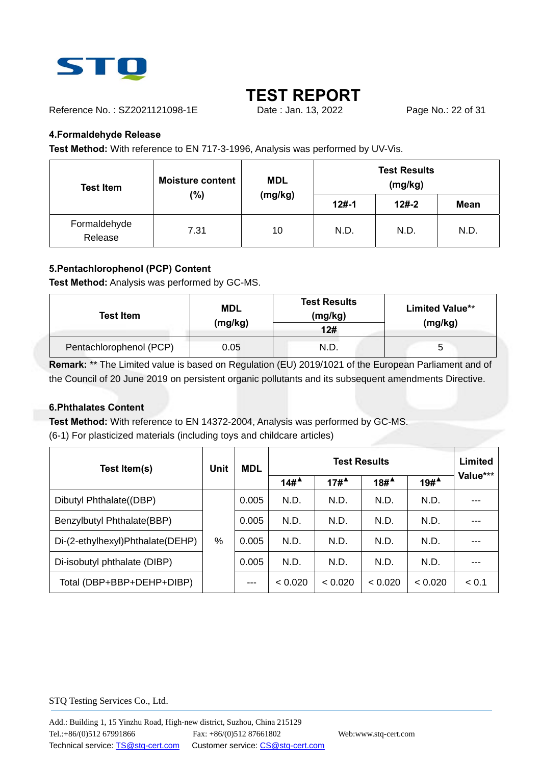

Reference No.: SZ2021121098-1E Date : Jan. 13, 2022 Page No.: 22 of 31

### **4.Formaldehyde Release**

**Test Method:** With reference to EN 717-3-1996, Analysis was performed by UV-Vis.

| <b>Test Item</b>        | <b>Moisture content</b> | <b>MDL</b> |         | <b>Test Results</b><br>(mg/kg) |             |
|-------------------------|-------------------------|------------|---------|--------------------------------|-------------|
|                         | (%)                     | (mg/kg)    | $12#-1$ | $12#-2$                        | <b>Mean</b> |
| Formaldehyde<br>Release | 7.31                    | 10         | N.D.    | N.D.                           | N.D.        |

### **5.Pentachlorophenol (PCP) Content**

**Test Method:** Analysis was performed by GC-MS.

| <b>Test Item</b>        | MDL<br>(mg/kg) | <b>Test Results</b><br>(mg/kg)<br>12# | <b>Limited Value**</b><br>(mg/kg) |
|-------------------------|----------------|---------------------------------------|-----------------------------------|
| Pentachlorophenol (PCP) | 0.05           | N.D.                                  |                                   |

**Remark:** \*\* The Limited value is based on Regulation (EU) 2019/1021 of the European Parliament and of the Council of 20 June 2019 on persistent organic pollutants and its subsequent amendments Directive.

### **6.Phthalates Content**

**Test Method:** With reference to EN 14372-2004, Analysis was performed by GC-MS. (6-1) For plasticized materials (including toys and childcare articles)

| Test Item(s)                     | Unit | <b>MDL</b> |                                          |                  | <b>Test Results</b> |                   | <b>Limited</b> |
|----------------------------------|------|------------|------------------------------------------|------------------|---------------------|-------------------|----------------|
|                                  |      |            | $14\#$ <sup><math>\triangle</math></sup> | 17# <sup>4</sup> | $18#^4$             | $19#^{\triangle}$ | Value***       |
| Dibutyl Phthalate((DBP)          |      | 0.005      | N.D.                                     | N.D.             | N.D.                | N.D.              |                |
| Benzylbutyl Phthalate(BBP)       |      | 0.005      | N.D.                                     | N.D.             | N.D.                | N.D.              |                |
| Di-(2-ethylhexyl)Phthalate(DEHP) | %    | 0.005      | N.D.                                     | N.D.             | N.D.                | N.D.              |                |
| Di-isobutyl phthalate (DIBP)     |      | 0.005      | N.D.                                     | N.D.             | N.D.                | N.D.              |                |
| Total (DBP+BBP+DEHP+DIBP)        |      | $-- -$     | < 0.020                                  | < 0.020          | < 0.020             | < 0.020           | < 0.1          |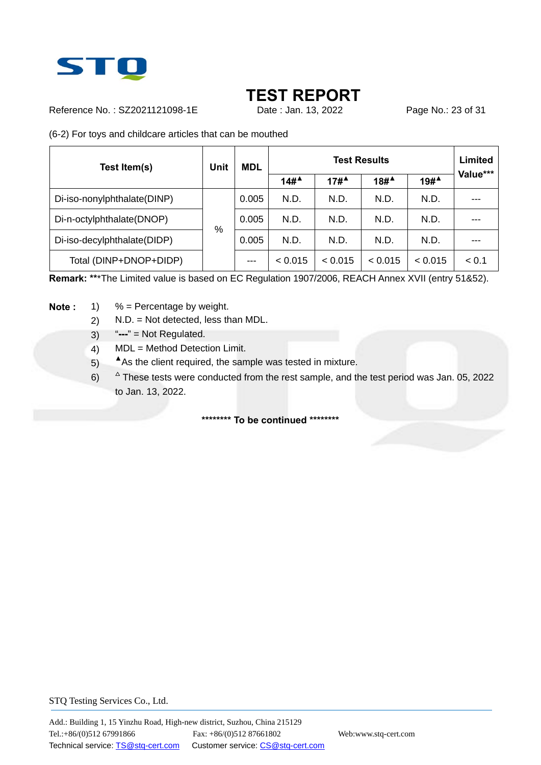

Reference No.: SZ2021121098-1E Date: Jan. 13, 2022 Page No.: 23 of 31

(6-2) For toys and childcare articles that can be mouthed

| Test Item(s)                | <b>Unit</b> | <b>MDL</b> |                                          |                                         | <b>Test Results</b>                      |                   | <b>Limited</b> |
|-----------------------------|-------------|------------|------------------------------------------|-----------------------------------------|------------------------------------------|-------------------|----------------|
|                             |             |            | $14\#$ <sup><math>\triangle</math></sup> | $17#$ <sup><math>\triangle</math></sup> | $18\#$ <sup><math>\triangle</math></sup> | $19#^{\triangle}$ | Value***       |
| Di-iso-nonylphthalate(DINP) |             | 0.005      | N.D.                                     | N.D.                                    | N.D.                                     | N.D.              |                |
| Di-n-octylphthalate(DNOP)   |             | 0.005      | N.D.                                     | N.D.                                    | N.D.                                     | N.D.              |                |
| Di-iso-decylphthalate(DIDP) | %           | 0.005      | N.D.                                     | N.D.                                    | N.D.                                     | N.D.              |                |
| Total (DINP+DNOP+DIDP)      |             | $- - -$    | < 0.015                                  | < 0.015                                 | < 0.015                                  | < 0.015           | < 0.1          |

**Remark: \*\***\*The Limited value is based on EC Regulation 1907/2006, REACH Annex XVII (entry 51&52).

- **Note :** 1) % = Percentage by weight.
	- 2) N.D. = Not detected, less than MDL.
	- 3) "**---**" = Not Regulated.
	- 4) MDL = Method Detection Limit.
	- 5) As the client required, the sample was tested in mixture.
	- $6)$  $\triangle$  These tests were conducted from the rest sample, and the test period was Jan. 05, 2022 to Jan. 13, 2022.

#### **\*\*\*\*\*\*\*\* To be continued \*\*\*\*\*\*\*\***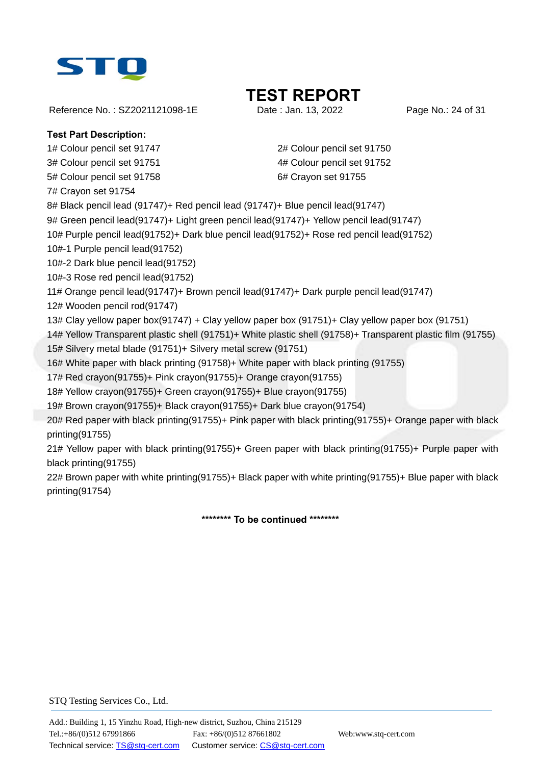

Reference No.: SZ2021121098-1E Date : Jan. 13, 2022 Page No.: 24 of 31

# **TEST REPORT**

### **Test Part Description:**

1# Colour pencil set 91747 2# Colour pencil set 91750

5# Colour pencil set 91758 6# Crayon set 91755

7# Crayon set 91754

3# Colour pencil set 91751 4# Colour pencil set 91752

8# Black pencil lead (91747)+ Red pencil lead (91747)+ Blue pencil lead(91747)

9# Green pencil lead(91747)+ Light green pencil lead(91747)+ Yellow pencil lead(91747)

10# Purple pencil lead(91752)+ Dark blue pencil lead(91752)+ Rose red pencil lead(91752)

10#-1 Purple pencil lead(91752)

10#-2 Dark blue pencil lead(91752)

10#-3 Rose red pencil lead(91752)

11# Orange pencil lead(91747)+ Brown pencil lead(91747)+ Dark purple pencil lead(91747)

12# Wooden pencil rod(91747)

13# Clay yellow paper box(91747) + Clay yellow paper box (91751)+ Clay yellow paper box (91751)

14# Yellow Transparent plastic shell (91751)+ White plastic shell (91758)+ Transparent plastic film (91755)

15# Silvery metal blade (91751)+ Silvery metal screw (91751)

16# White paper with black printing (91758)+ White paper with black printing (91755)

17# Red crayon(91755)+ Pink crayon(91755)+ Orange crayon(91755)

18# Yellow crayon(91755)+ Green crayon(91755)+ Blue crayon(91755)

19# Brown crayon(91755)+ Black crayon(91755)+ Dark blue crayon(91754)

20# Red paper with black printing(91755)+ Pink paper with black printing(91755)+ Orange paper with black printing(91755)

21# Yellow paper with black printing(91755)+ Green paper with black printing(91755)+ Purple paper with black printing(91755)

22# Brown paper with white printing(91755)+ Black paper with white printing(91755)+ Blue paper with black printing(91754)

**\*\*\*\*\*\*\*\* To be continued \*\*\*\*\*\*\*\***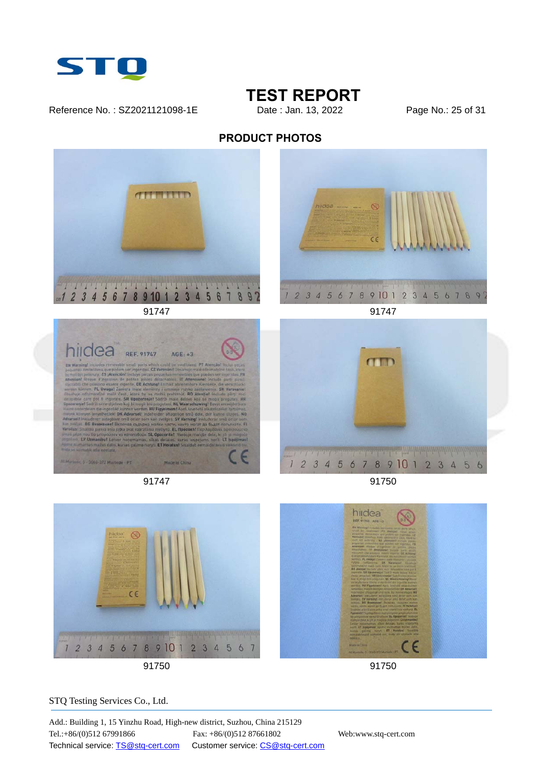

Reference No.: SZ2021121098-1E Date : Jan. 13, 2022 Page No.: 25 of 31

### **TEST REPORT**

### **PRODUCT PHOTOS**







91747 91747



91747 91750



91750 91750

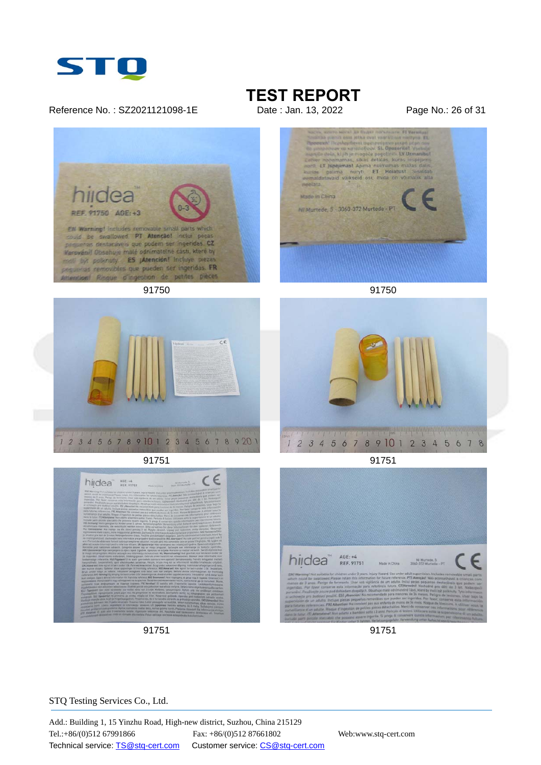

#### Reference No.: SZ2021121098-1E Date : Jan. 13, 2022 Page No.: 26 of 31

# **TEST REPORT**<br>Date : Jan. 13, 2022









 $\begin{picture}(20,10) \put(0,0){\vector(1,0){100}} \put(15,0){\vector(1,0){100}} \put(15,0){\vector(1,0){100}} \put(15,0){\vector(1,0){100}} \put(15,0){\vector(1,0){100}} \put(15,0){\vector(1,0){100}} \put(15,0){\vector(1,0){100}} \put(15,0){\vector(1,0){100}} \put(15,0){\vector(1,0){100}} \put(15,0){\vector(1,0){100}} \put(15,0){\vector(1,0){100}} \$ 

 $\frac{1}{2}$   $\frac{1}{2}$   $\frac{1}{2}$   $\frac{1}{2}$   $\frac{1}{2}$   $\frac{1}{2}$   $\frac{1}{2}$   $\frac{1}{2}$   $\frac{1}{2}$   $\frac{1}{2}$   $\frac{1}{2}$   $\frac{1}{2}$   $\frac{1}{2}$   $\frac{1}{2}$   $\frac{1}{2}$   $\frac{1}{2}$   $\frac{1}{2}$   $\frac{1}{2}$   $\frac{1}{2}$   $\frac{1}{2}$   $\frac{1}{2}$   $\frac{1}{2}$ 

the color buying the substitutions of<br>the color buying the substitution of the state and an indicated the<br>state of the substitution of the state of the state of<br>the state and substitutions of the state of the state<br>at sum,

END Missening front auditoria for officients ander J party.<br>ANGE county for Seattlement Powers retain this international different county.



91751 91751





91751 91751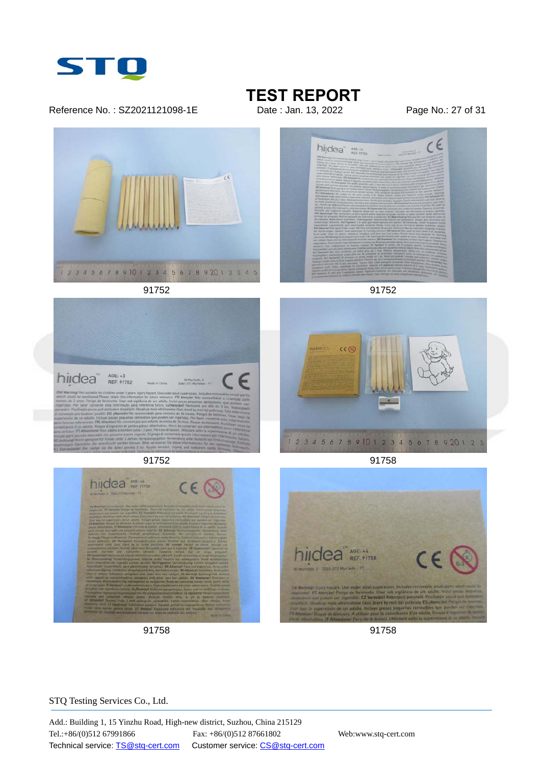

Reference No.: SZ2021121098-1E Date : Jan. 13, 2022 Page No.: 27 of 31

### **TEST REPORT**











91758 91758

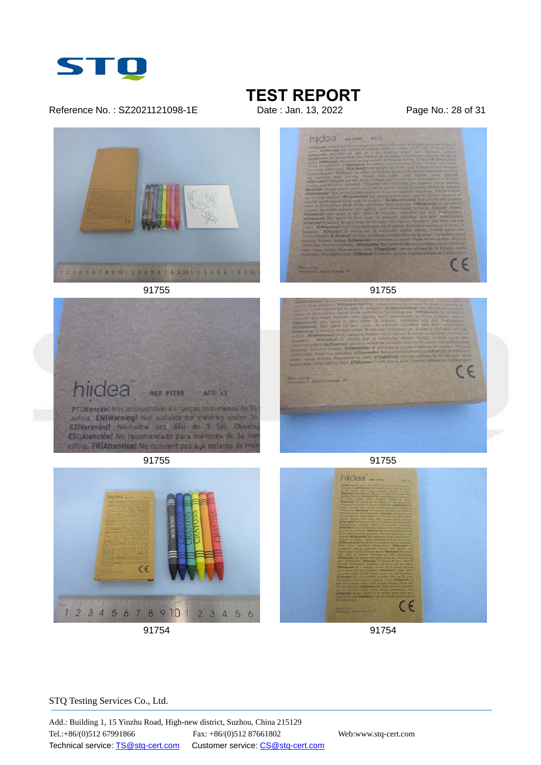

Reference No.: SZ2021121098-1E Date : Jan. 13, 2022 Page No.: 28 of 31

# **TEST REPORT**











91755 91755



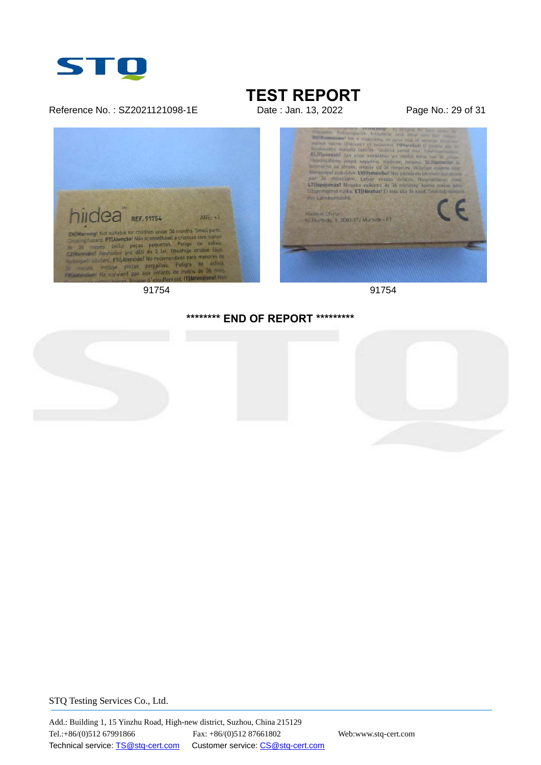

#### Reference No.: SZ2021121098-1E Date : Jan. 13, 2022 Page No.: 29 of 31

### **TEST REPORT**





### **\*\*\*\*\*\*\*\* END OF REPORT \*\*\*\*\*\*\*\*\***



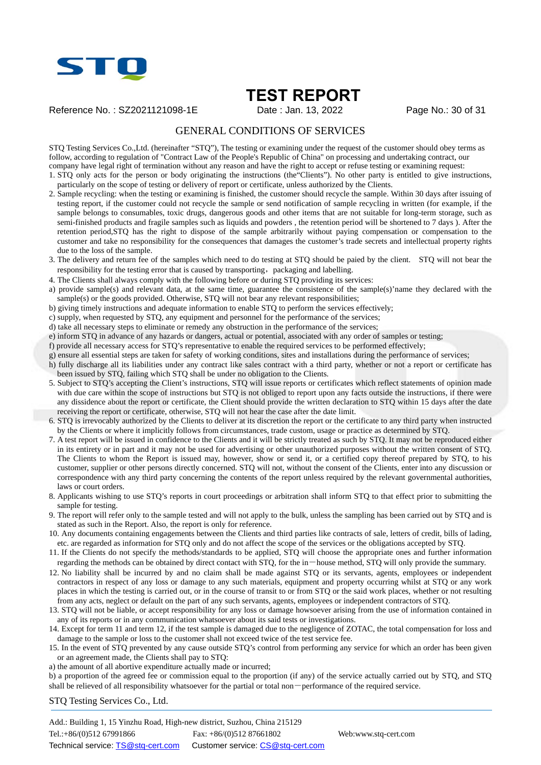

Reference No.: SZ2021121098-1E Date : Jan. 13, 2022 Page No.: 30 of 31

### GENERAL CONDITIONS OF SERVICES

STQ Testing Services Co.,Ltd. (hereinafter "STQ"), The testing or examining under the request of the customer should obey terms as follow, according to regulation of "Contract Law of the People's Republic of China" on processing and undertaking contract, our company have legal right of termination without any reason and have the right to accept or refuse testing or examining request:

1. STQ only acts for the person or body originating the instructions (the"Clients"). No other party is entitled to give instructions, particularly on the scope of testing or delivery of report or certificate, unless authorized by the Clients.

- 2. Sample recycling: when the testing or examining is finished, the customer should recycle the sample. Within 30 days after issuing of testing report, if the customer could not recycle the sample or send notification of sample recycling in written (for example, if the sample belongs to consumables, toxic drugs, dangerous goods and other items that are not suitable for long-term storage, such as semi-finished products and fragile samples such as liquids and powders , the retention period will be shortened to 7 days ). After the retention period,STQ has the right to dispose of the sample arbitrarily without paying compensation or compensation to the customer and take no responsibility for the consequences that damages the customer's trade secrets and intellectual property rights due to the loss of the sample.
- 3. The delivery and return fee of the samples which need to do testing at STQ should be paied by the client. STQ will not bear the responsibility for the testing error that is caused by transporting, packaging and labelling.
- 4. The Clients shall always comply with the following before or during STQ providing its services:
- a) provide sample(s) and relevant data, at the same time, guarantee the consistence of the sample(s)'name they declared with the  $sample(s)$  or the goods provided. Otherwise, STQ will not bear any relevant responsibilities;
- b) giving timely instructions and adequate information to enable STQ to perform the services effectively;
- c) supply, when requested by STQ, any equipment and personnel for the performance of the services;
- d) take all necessary steps to eliminate or remedy any obstruction in the performance of the services;
- e) inform STQ in advance of any hazards or dangers, actual or potential, associated with any order of samples or testing;
- f) provide all necessary access for STQ's representative to enable the required services to be performed effectively;
- g) ensure all essential steps are taken for safety of working conditions, sites and installations during the performance of services;
- h) fully discharge all its liabilities under any contract like sales contract with a third party, whether or not a report or certificate has been issued by STQ, failing which STQ shall be under no obligation to the Clients.
- 5. Subject to STQ's accepting the Client's instructions, STQ will issue reports or certificates which reflect statements of opinion made with due care within the scope of instructions but STQ is not obliged to report upon any facts outside the instructions, if there were any dissidence about the report or certificate, the Client should provide the written declaration to STQ within 15 days after the date receiving the report or certificate, otherwise, STQ will not hear the case after the date limit.
- 6. STQ is irrevocably authorized by the Clients to deliver at its discretion the report or the certificate to any third party when instructed by the Clients or where it implicitly follows from circumstances, trade custom, usage or practice as determined by STQ.
- 7. A test report will be issued in confidence to the Clients and it will be strictly treated as such by STQ. It may not be reproduced either in its entirety or in part and it may not be used for advertising or other unauthorized purposes without the written consent of STQ. The Clients to whom the Report is issued may, however, show or send it, or a certified copy thereof prepared by STQ, to his customer, supplier or other persons directly concerned. STQ will not, without the consent of the Clients, enter into any discussion or correspondence with any third party concerning the contents of the report unless required by the relevant governmental authorities, laws or court orders.
- 8. Applicants wishing to use STQ's reports in court proceedings or arbitration shall inform STQ to that effect prior to submitting the sample for testing.
- 9. The report will refer only to the sample tested and will not apply to the bulk, unless the sampling has been carried out by STQ and is stated as such in the Report. Also, the report is only for reference.
- 10. Any documents containing engagements between the Clients and third parties like contracts of sale, letters of credit, bills of lading, etc. are regarded as information for STQ only and do not affect the scope of the services or the obligations accepted by STQ.
- 11. If the Clients do not specify the methods/standards to be applied, STQ will choose the appropriate ones and further information regarding the methods can be obtained by direct contact with STQ, for the in-house method, STQ will only provide the summary.
- 12. No liability shall be incurred by and no claim shall be made against STQ or its servants, agents, employees or independent contractors in respect of any loss or damage to any such materials, equipment and property occurring whilst at STQ or any work places in which the testing is carried out, or in the course of transit to or from STQ or the said work places, whether or not resulting from any acts, neglect or default on the part of any such servants, agents, employees or independent contractors of STQ.
- 13. STQ will not be liable, or accept responsibility for any loss or damage howsoever arising from the use of information contained in any of its reports or in any communication whatsoever about its said tests or investigations.
- 14. Except for term 11 and term 12, if the test sample is damaged due to the negligence of ZOTAC, the total compensation for loss and damage to the sample or loss to the customer shall not exceed twice of the test service fee.
- 15. In the event of STQ prevented by any cause outside STQ's control from performing any service for which an order has been given or an agreement made, the Clients shall pay to STQ:
- a) the amount of all abortive expenditure actually made or incurred;

b) a proportion of the agreed fee or commission equal to the proportion (if any) of the service actually carried out by STQ, and STQ shall be relieved of all responsibility whatsoever for the partial or total non-performance of the required service.

STQ Testing Services Co., Ltd.

Add.: Building 1, 15 Yinzhu Road, High-new district, Suzhou, China 215129 Tel.:+86/(0)512 67991866 Fax: +86/(0)512 87661802 Web:www.stq-cert.com Technical service: TS@stq-cert.com Customer service: CS@stq-cert.com